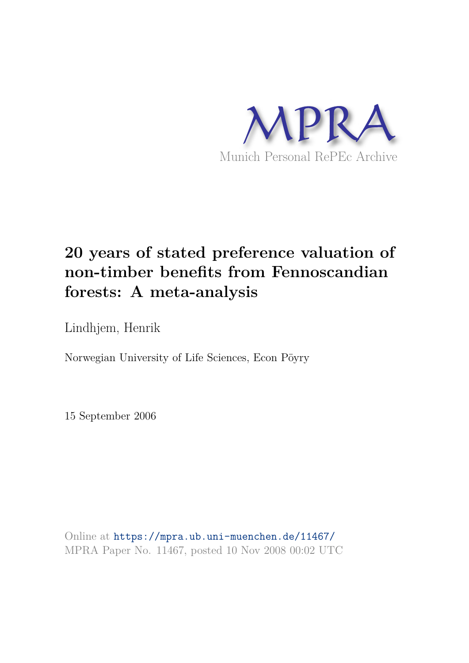

# **20 years of stated preference valuation of non-timber benefits from Fennoscandian forests: A meta-analysis**

Lindhjem, Henrik

Norwegian University of Life Sciences, Econ Pöyry

15 September 2006

Online at https://mpra.ub.uni-muenchen.de/11467/ MPRA Paper No. 11467, posted 10 Nov 2008 00:02 UTC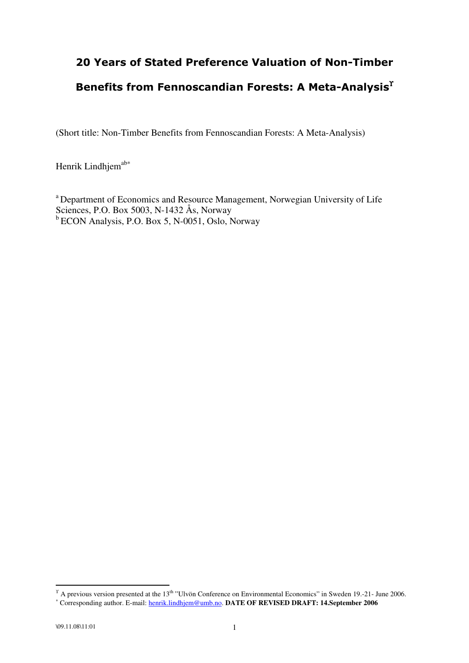# 20 Years of Stated Preference Valuation of Non-Timber

# Benefits from Fennoscandian Forests: A Meta-Analysis<sup>r</sup>

(Short title: Non-Timber Benefits from Fennoscandian Forests: A Meta-Analysis)

Henrik Lindhjem<sup>ab∗</sup>

<sup>a</sup> Department of Economics and Resource Management, Norwegian University of Life Sciences, P.O. Box 5003, N-1432 Ås, Norway  $b$  ECON Analysis, P.O. Box 5, N-0051, Oslo, Norway

<sup>&</sup>lt;sup>T</sup> A previous version presented at the 13<sup>th</sup> "Ulvön Conference on Environmental Economics" in Sweden 19.-21- June 2006.<br>\* Corresponding author. E-mail: <u>henrik.lindhjem@umb.no</u>. **DATE OF REVISED DRAFT: 14.September 2006**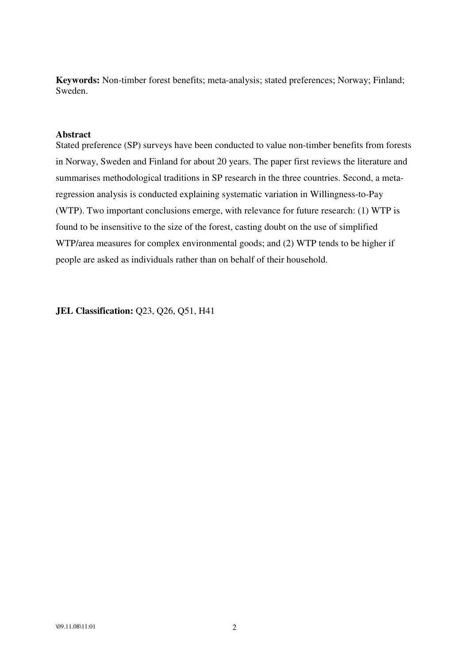**Keywords:** Non-timber forest benefits; meta-analysis; stated preferences; Norway; Finland; Sweden.

# **Abstract**

Stated preference (SP) surveys have been conducted to value non-timber benefits from forests in Norway, Sweden and Finland for about 20 years. The paper first reviews the literature and summarises methodological traditions in SP research in the three countries. Second, a metaregression analysis is conducted explaining systematic variation in Willingness-to-Pay (WTP). Two important conclusions emerge, with relevance for future research: (1) WTP is found to be insensitive to the size of the forest, casting doubt on the use of simplified WTP/area measures for complex environmental goods; and (2) WTP tends to be higher if people are asked as individuals rather than on behalf of their household.

**JEL Classification:** Q23, Q26, Q51, H41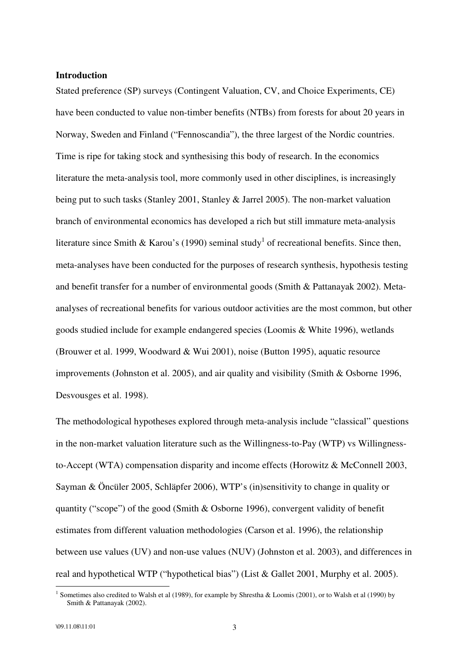## **Introduction**

Stated preference (SP) surveys (Contingent Valuation, CV, and Choice Experiments, CE) have been conducted to value non-timber benefits (NTBs) from forests for about 20 years in Norway, Sweden and Finland ("Fennoscandia"), the three largest of the Nordic countries. Time is ripe for taking stock and synthesising this body of research. In the economics literature the meta-analysis tool, more commonly used in other disciplines, is increasingly being put to such tasks (Stanley 2001, Stanley & Jarrel 2005). The non-market valuation branch of environmental economics has developed a rich but still immature meta-analysis literature since Smith & Karou's (1990) seminal study<sup>1</sup> of recreational benefits. Since then, meta-analyses have been conducted for the purposes of research synthesis, hypothesis testing and benefit transfer for a number of environmental goods (Smith & Pattanayak 2002). Metaanalyses of recreational benefits for various outdoor activities are the most common, but other goods studied include for example endangered species (Loomis & White 1996), wetlands (Brouwer et al. 1999, Woodward & Wui 2001), noise (Button 1995), aquatic resource improvements (Johnston et al. 2005), and air quality and visibility (Smith & Osborne 1996, Desvousges et al. 1998).

The methodological hypotheses explored through meta-analysis include "classical" questions in the non-market valuation literature such as the Willingness-to-Pay (WTP) vs Willingnessto-Accept (WTA) compensation disparity and income effects (Horowitz & McConnell 2003, Sayman & Öncüler 2005, Schläpfer 2006), WTP's (in)sensitivity to change in quality or quantity ("scope") of the good (Smith & Osborne 1996), convergent validity of benefit estimates from different valuation methodologies (Carson et al. 1996), the relationship between use values (UV) and non-use values (NUV) (Johnston et al. 2003), and differences in real and hypothetical WTP ("hypothetical bias") (List & Gallet 2001, Murphy et al. 2005).

<sup>&</sup>lt;sup>1</sup> Sometimes also credited to Walsh et al (1989), for example by Shrestha & Loomis (2001), or to Walsh et al (1990) by Smith & Pattanayak (2002).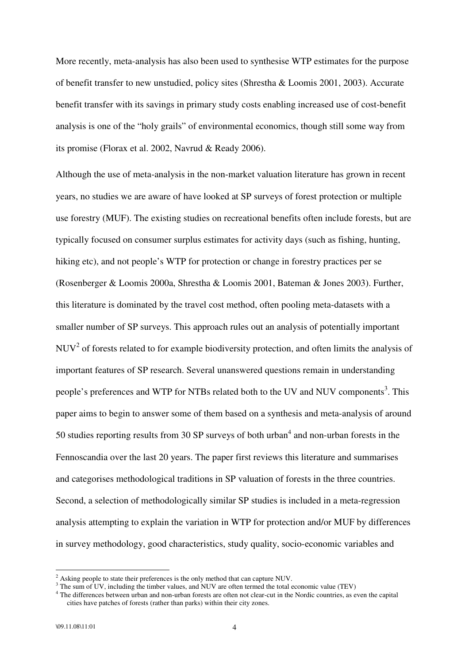More recently, meta-analysis has also been used to synthesise WTP estimates for the purpose of benefit transfer to new unstudied, policy sites (Shrestha & Loomis 2001, 2003). Accurate benefit transfer with its savings in primary study costs enabling increased use of cost-benefit analysis is one of the "holy grails" of environmental economics, though still some way from its promise (Florax et al. 2002, Navrud & Ready 2006).

Although the use of meta-analysis in the non-market valuation literature has grown in recent years, no studies we are aware of have looked at SP surveys of forest protection or multiple use forestry (MUF). The existing studies on recreational benefits often include forests, but are typically focused on consumer surplus estimates for activity days (such as fishing, hunting, hiking etc), and not people's WTP for protection or change in forestry practices per se (Rosenberger & Loomis 2000a, Shrestha & Loomis 2001, Bateman & Jones 2003). Further, this literature is dominated by the travel cost method, often pooling meta-datasets with a smaller number of SP surveys. This approach rules out an analysis of potentially important  $NUV<sup>2</sup>$  of forests related to for example biodiversity protection, and often limits the analysis of important features of SP research. Several unanswered questions remain in understanding people's preferences and WTP for NTBs related both to the UV and NUV components<sup>3</sup>. This paper aims to begin to answer some of them based on a synthesis and meta-analysis of around 50 studies reporting results from 30 SP surveys of both urban<sup>4</sup> and non-urban forests in the Fennoscandia over the last 20 years. The paper first reviews this literature and summarises and categorises methodological traditions in SP valuation of forests in the three countries. Second, a selection of methodologically similar SP studies is included in a meta-regression analysis attempting to explain the variation in WTP for protection and/or MUF by differences in survey methodology, good characteristics, study quality, socio-economic variables and

 $2^2$  Asking people to state their preferences is the only method that can capture NUV.

<sup>&</sup>lt;sup>3</sup> The sum of UV, including the timber values, and NUV are often termed the total economic value (TEV)

<sup>&</sup>lt;sup>4</sup> The differences between urban and non-urban forests are often not clear-cut in the Nordic countries, as even the capital cities have patches of forests (rather than parks) within their city zones.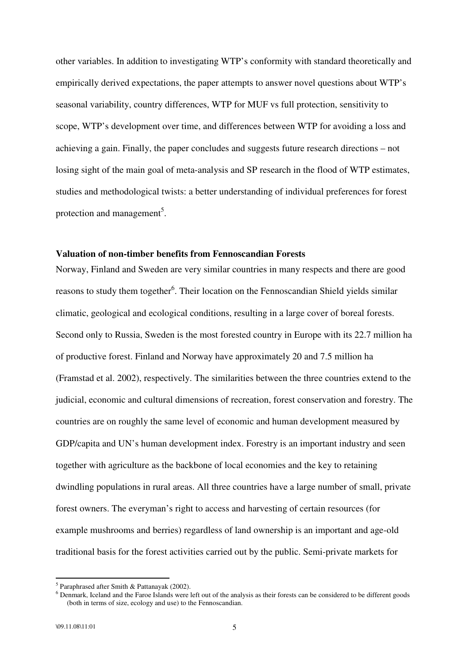other variables. In addition to investigating WTP's conformity with standard theoretically and empirically derived expectations, the paper attempts to answer novel questions about WTP's seasonal variability, country differences, WTP for MUF vs full protection, sensitivity to scope, WTP's development over time, and differences between WTP for avoiding a loss and achieving a gain. Finally, the paper concludes and suggests future research directions – not losing sight of the main goal of meta-analysis and SP research in the flood of WTP estimates, studies and methodological twists: a better understanding of individual preferences for forest protection and management<sup>5</sup>.

# **Valuation of non-timber benefits from Fennoscandian Forests**

Norway, Finland and Sweden are very similar countries in many respects and there are good reasons to study them together<sup>6</sup>. Their location on the Fennoscandian Shield yields similar climatic, geological and ecological conditions, resulting in a large cover of boreal forests. Second only to Russia, Sweden is the most forested country in Europe with its 22.7 million ha of productive forest. Finland and Norway have approximately 20 and 7.5 million ha (Framstad et al. 2002), respectively. The similarities between the three countries extend to the judicial, economic and cultural dimensions of recreation, forest conservation and forestry. The countries are on roughly the same level of economic and human development measured by GDP/capita and UN's human development index. Forestry is an important industry and seen together with agriculture as the backbone of local economies and the key to retaining dwindling populations in rural areas. All three countries have a large number of small, private forest owners. The everyman's right to access and harvesting of certain resources (for example mushrooms and berries) regardless of land ownership is an important and age-old traditional basis for the forest activities carried out by the public. Semi-private markets for

<sup>5</sup> Paraphrased after Smith & Pattanayak (2002).

<sup>&</sup>lt;sup>6</sup> Denmark, Iceland and the Faroe Islands were left out of the analysis as their forests can be considered to be different goods (both in terms of size, ecology and use) to the Fennoscandian.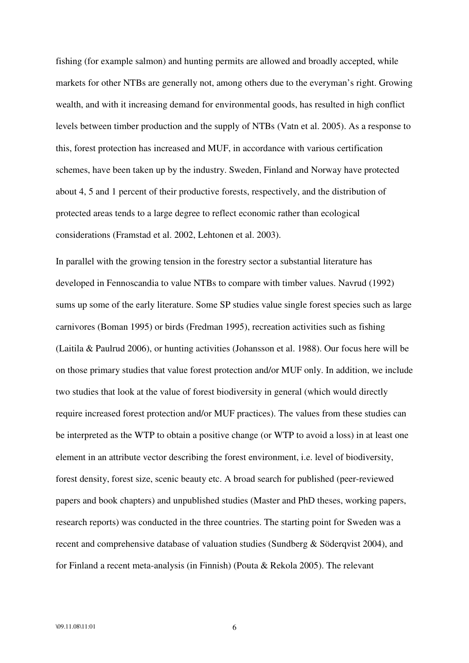fishing (for example salmon) and hunting permits are allowed and broadly accepted, while markets for other NTBs are generally not, among others due to the everyman's right. Growing wealth, and with it increasing demand for environmental goods, has resulted in high conflict levels between timber production and the supply of NTBs (Vatn et al. 2005). As a response to this, forest protection has increased and MUF, in accordance with various certification schemes, have been taken up by the industry. Sweden, Finland and Norway have protected about 4, 5 and 1 percent of their productive forests, respectively, and the distribution of protected areas tends to a large degree to reflect economic rather than ecological considerations (Framstad et al. 2002, Lehtonen et al. 2003).

In parallel with the growing tension in the forestry sector a substantial literature has developed in Fennoscandia to value NTBs to compare with timber values. Navrud (1992) sums up some of the early literature. Some SP studies value single forest species such as large carnivores (Boman 1995) or birds (Fredman 1995), recreation activities such as fishing (Laitila & Paulrud 2006), or hunting activities (Johansson et al. 1988). Our focus here will be on those primary studies that value forest protection and/or MUF only. In addition, we include two studies that look at the value of forest biodiversity in general (which would directly require increased forest protection and/or MUF practices). The values from these studies can be interpreted as the WTP to obtain a positive change (or WTP to avoid a loss) in at least one element in an attribute vector describing the forest environment, i.e. level of biodiversity, forest density, forest size, scenic beauty etc. A broad search for published (peer-reviewed papers and book chapters) and unpublished studies (Master and PhD theses, working papers, research reports) was conducted in the three countries. The starting point for Sweden was a recent and comprehensive database of valuation studies (Sundberg & Söderqvist 2004), and for Finland a recent meta-analysis (in Finnish) (Pouta & Rekola 2005). The relevant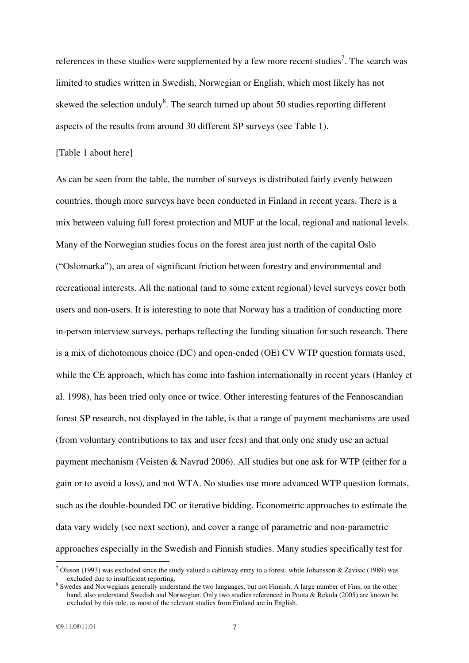references in these studies were supplemented by a few more recent studies<sup>7</sup>. The search was limited to studies written in Swedish, Norwegian or English, which most likely has not skewed the selection unduly<sup>8</sup>. The search turned up about 50 studies reporting different aspects of the results from around 30 different SP surveys (see Table 1).

#### [Table 1 about here]

As can be seen from the table, the number of surveys is distributed fairly evenly between countries, though more surveys have been conducted in Finland in recent years. There is a mix between valuing full forest protection and MUF at the local, regional and national levels. Many of the Norwegian studies focus on the forest area just north of the capital Oslo ("Oslomarka"), an area of significant friction between forestry and environmental and recreational interests. All the national (and to some extent regional) level surveys cover both users and non-users. It is interesting to note that Norway has a tradition of conducting more in-person interview surveys, perhaps reflecting the funding situation for such research. There is a mix of dichotomous choice (DC) and open-ended (OE) CV WTP question formats used, while the CE approach, which has come into fashion internationally in recent years (Hanley et al. 1998), has been tried only once or twice. Other interesting features of the Fennoscandian forest SP research, not displayed in the table, is that a range of payment mechanisms are used (from voluntary contributions to tax and user fees) and that only one study use an actual payment mechanism (Veisten & Navrud 2006). All studies but one ask for WTP (either for a gain or to avoid a loss), and not WTA. No studies use more advanced WTP question formats, such as the double-bounded DC or iterative bidding. Econometric approaches to estimate the data vary widely (see next section), and cover a range of parametric and non-parametric approaches especially in the Swedish and Finnish studies. Many studies specifically test for

<sup>&</sup>lt;sup>7</sup> Olsson (1993) was excluded since the study valued a cableway entry to a forest, while Johansson & Zavisic (1989) was excluded due to insufficient reporting.

<sup>&</sup>lt;sup>8</sup> Swedes and Norwegians generally understand the two languages, but not Finnish. A large number of Fins, on the other hand, also understand Swedish and Norwegian. Only two studies referenced in Pouta & Rekola (2005) are known be excluded by this rule, as most of the relevant studies from Finland are in English.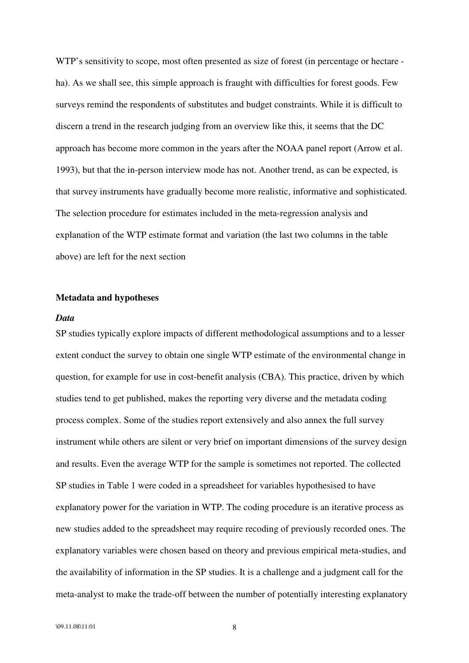WTP's sensitivity to scope, most often presented as size of forest (in percentage or hectare ha). As we shall see, this simple approach is fraught with difficulties for forest goods. Few surveys remind the respondents of substitutes and budget constraints. While it is difficult to discern a trend in the research judging from an overview like this, it seems that the DC approach has become more common in the years after the NOAA panel report (Arrow et al. 1993), but that the in-person interview mode has not. Another trend, as can be expected, is that survey instruments have gradually become more realistic, informative and sophisticated. The selection procedure for estimates included in the meta-regression analysis and explanation of the WTP estimate format and variation (the last two columns in the table above) are left for the next section

## **Metadata and hypotheses**

#### *Data*

SP studies typically explore impacts of different methodological assumptions and to a lesser extent conduct the survey to obtain one single WTP estimate of the environmental change in question, for example for use in cost-benefit analysis (CBA). This practice, driven by which studies tend to get published, makes the reporting very diverse and the metadata coding process complex. Some of the studies report extensively and also annex the full survey instrument while others are silent or very brief on important dimensions of the survey design and results. Even the average WTP for the sample is sometimes not reported. The collected SP studies in Table 1 were coded in a spreadsheet for variables hypothesised to have explanatory power for the variation in WTP. The coding procedure is an iterative process as new studies added to the spreadsheet may require recoding of previously recorded ones. The explanatory variables were chosen based on theory and previous empirical meta-studies, and the availability of information in the SP studies. It is a challenge and a judgment call for the meta-analyst to make the trade-off between the number of potentially interesting explanatory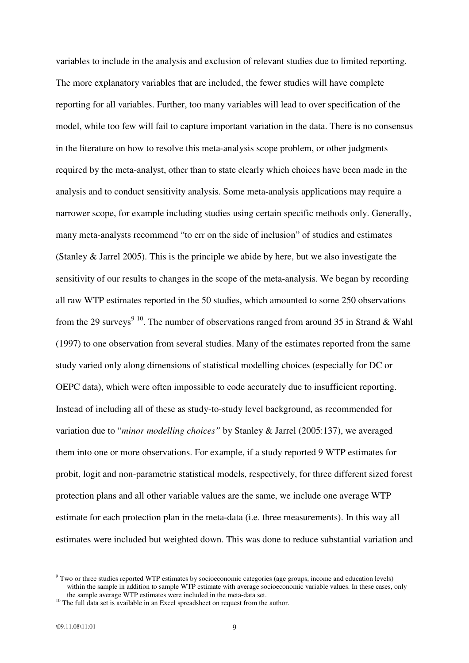variables to include in the analysis and exclusion of relevant studies due to limited reporting. The more explanatory variables that are included, the fewer studies will have complete reporting for all variables. Further, too many variables will lead to over specification of the model, while too few will fail to capture important variation in the data. There is no consensus in the literature on how to resolve this meta-analysis scope problem, or other judgments required by the meta-analyst, other than to state clearly which choices have been made in the analysis and to conduct sensitivity analysis. Some meta-analysis applications may require a narrower scope, for example including studies using certain specific methods only. Generally, many meta-analysts recommend "to err on the side of inclusion" of studies and estimates (Stanley & Jarrel 2005). This is the principle we abide by here, but we also investigate the sensitivity of our results to changes in the scope of the meta-analysis. We began by recording all raw WTP estimates reported in the 50 studies, which amounted to some 250 observations from the 29 surveys<sup>9 10</sup>. The number of observations ranged from around 35 in Strand & Wahl (1997) to one observation from several studies. Many of the estimates reported from the same study varied only along dimensions of statistical modelling choices (especially for DC or OEPC data), which were often impossible to code accurately due to insufficient reporting. Instead of including all of these as study-to-study level background, as recommended for variation due to "*minor modelling choices"* by Stanley & Jarrel (2005:137), we averaged them into one or more observations. For example, if a study reported 9 WTP estimates for probit, logit and non-parametric statistical models, respectively, for three different sized forest protection plans and all other variable values are the same, we include one average WTP estimate for each protection plan in the meta-data (i.e. three measurements). In this way all estimates were included but weighted down. This was done to reduce substantial variation and

<sup>&</sup>lt;sup>9</sup> Two or three studies reported WTP estimates by socioeconomic categories (age groups, income and education levels) within the sample in addition to sample WTP estimate with average socioeconomic variable values. In these cases, only the sample average WTP estimates were included in the meta-data set.

<sup>&</sup>lt;sup>10</sup> The full data set is available in an Excel spreadsheet on request from the author.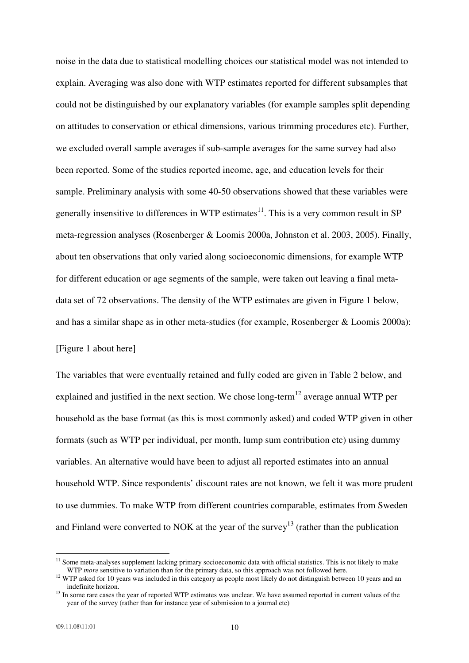noise in the data due to statistical modelling choices our statistical model was not intended to explain. Averaging was also done with WTP estimates reported for different subsamples that could not be distinguished by our explanatory variables (for example samples split depending on attitudes to conservation or ethical dimensions, various trimming procedures etc). Further, we excluded overall sample averages if sub-sample averages for the same survey had also been reported. Some of the studies reported income, age, and education levels for their sample. Preliminary analysis with some 40-50 observations showed that these variables were generally insensitive to differences in WTP estimates $^{11}$ . This is a very common result in SP meta-regression analyses (Rosenberger & Loomis 2000a, Johnston et al. 2003, 2005). Finally, about ten observations that only varied along socioeconomic dimensions, for example WTP for different education or age segments of the sample, were taken out leaving a final metadata set of 72 observations. The density of the WTP estimates are given in Figure 1 below, and has a similar shape as in other meta-studies (for example, Rosenberger & Loomis 2000a): [Figure 1 about here]

The variables that were eventually retained and fully coded are given in Table 2 below, and explained and justified in the next section. We chose long-term<sup>12</sup> average annual WTP per household as the base format (as this is most commonly asked) and coded WTP given in other formats (such as WTP per individual, per month, lump sum contribution etc) using dummy variables. An alternative would have been to adjust all reported estimates into an annual household WTP. Since respondents' discount rates are not known, we felt it was more prudent to use dummies. To make WTP from different countries comparable, estimates from Sweden and Finland were converted to NOK at the year of the survey<sup>13</sup> (rather than the publication

 $11$  Some meta-analyses supplement lacking primary socioeconomic data with official statistics. This is not likely to make WTP *more* sensitive to variation than for the primary data, so this approach was not followed here.

 $12$  WTP asked for 10 years was included in this category as people most likely do not distinguish between 10 years and an indefinite horizon.

<sup>&</sup>lt;sup>13</sup> In some rare cases the year of reported WTP estimates was unclear. We have assumed reported in current values of the year of the survey (rather than for instance year of submission to a journal etc)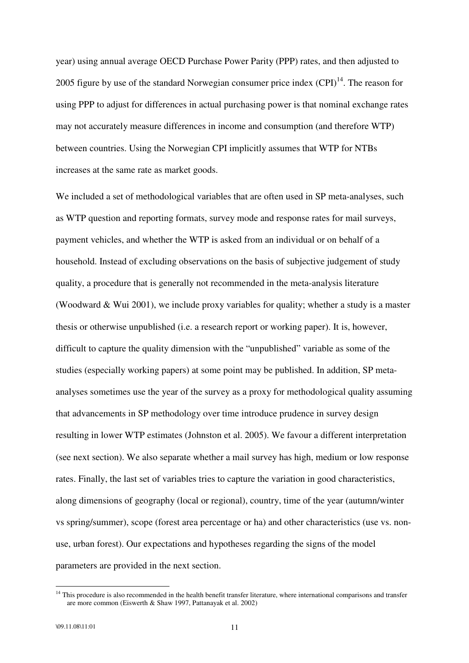year) using annual average OECD Purchase Power Parity (PPP) rates, and then adjusted to 2005 figure by use of the standard Norwegian consumer price index  $(CPI)^{14}$ . The reason for using PPP to adjust for differences in actual purchasing power is that nominal exchange rates may not accurately measure differences in income and consumption (and therefore WTP) between countries. Using the Norwegian CPI implicitly assumes that WTP for NTBs increases at the same rate as market goods.

We included a set of methodological variables that are often used in SP meta-analyses, such as WTP question and reporting formats, survey mode and response rates for mail surveys, payment vehicles, and whether the WTP is asked from an individual or on behalf of a household. Instead of excluding observations on the basis of subjective judgement of study quality, a procedure that is generally not recommended in the meta-analysis literature (Woodward & Wui 2001), we include proxy variables for quality; whether a study is a master thesis or otherwise unpublished (i.e. a research report or working paper). It is, however, difficult to capture the quality dimension with the "unpublished" variable as some of the studies (especially working papers) at some point may be published. In addition, SP metaanalyses sometimes use the year of the survey as a proxy for methodological quality assuming that advancements in SP methodology over time introduce prudence in survey design resulting in lower WTP estimates (Johnston et al. 2005). We favour a different interpretation (see next section). We also separate whether a mail survey has high, medium or low response rates. Finally, the last set of variables tries to capture the variation in good characteristics, along dimensions of geography (local or regional), country, time of the year (autumn/winter vs spring/summer), scope (forest area percentage or ha) and other characteristics (use vs. nonuse, urban forest). Our expectations and hypotheses regarding the signs of the model parameters are provided in the next section.

<sup>&</sup>lt;sup>14</sup> This procedure is also recommended in the health benefit transfer literature, where international comparisons and transfer are more common (Eiswerth & Shaw 1997, Pattanayak et al. 2002)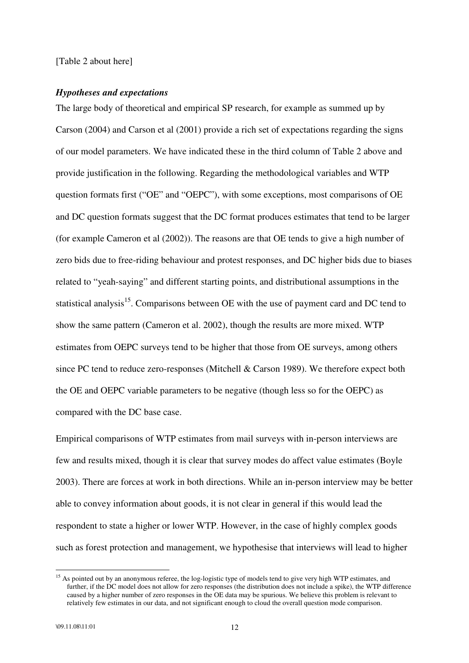#### [Table 2 about here]

#### *Hypotheses and expectations*

The large body of theoretical and empirical SP research, for example as summed up by Carson (2004) and Carson et al (2001) provide a rich set of expectations regarding the signs of our model parameters. We have indicated these in the third column of Table 2 above and provide justification in the following. Regarding the methodological variables and WTP question formats first ("OE" and "OEPC"), with some exceptions, most comparisons of OE and DC question formats suggest that the DC format produces estimates that tend to be larger (for example Cameron et al (2002)). The reasons are that OE tends to give a high number of zero bids due to free-riding behaviour and protest responses, and DC higher bids due to biases related to "yeah-saying" and different starting points, and distributional assumptions in the statistical analysis<sup>15</sup>. Comparisons between OE with the use of payment card and DC tend to show the same pattern (Cameron et al. 2002), though the results are more mixed. WTP estimates from OEPC surveys tend to be higher that those from OE surveys, among others since PC tend to reduce zero-responses (Mitchell & Carson 1989). We therefore expect both the OE and OEPC variable parameters to be negative (though less so for the OEPC) as compared with the DC base case.

Empirical comparisons of WTP estimates from mail surveys with in-person interviews are few and results mixed, though it is clear that survey modes do affect value estimates (Boyle 2003). There are forces at work in both directions. While an in-person interview may be better able to convey information about goods, it is not clear in general if this would lead the respondent to state a higher or lower WTP. However, in the case of highly complex goods such as forest protection and management, we hypothesise that interviews will lead to higher

<sup>&</sup>lt;sup>15</sup> As pointed out by an anonymous referee, the log-logistic type of models tend to give very high WTP estimates, and further, if the DC model does not allow for zero responses (the distribution does not include a spike), the WTP difference caused by a higher number of zero responses in the OE data may be spurious. We believe this problem is relevant to relatively few estimates in our data, and not significant enough to cloud the overall question mode comparison.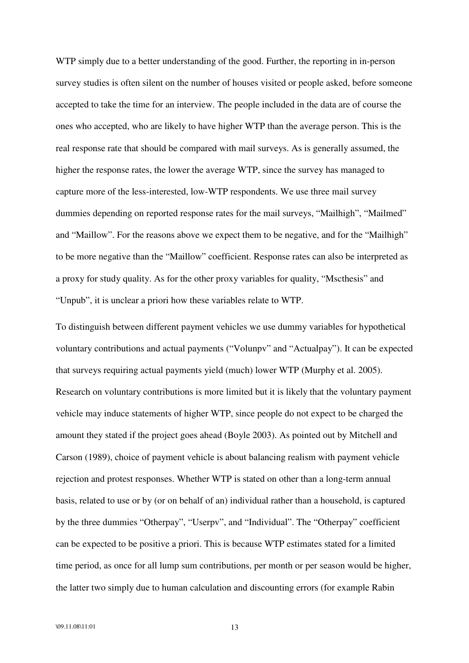WTP simply due to a better understanding of the good. Further, the reporting in in-person survey studies is often silent on the number of houses visited or people asked, before someone accepted to take the time for an interview. The people included in the data are of course the ones who accepted, who are likely to have higher WTP than the average person. This is the real response rate that should be compared with mail surveys. As is generally assumed, the higher the response rates, the lower the average WTP, since the survey has managed to capture more of the less-interested, low-WTP respondents. We use three mail survey dummies depending on reported response rates for the mail surveys, "Mailhigh", "Mailmed" and "Maillow". For the reasons above we expect them to be negative, and for the "Mailhigh" to be more negative than the "Maillow" coefficient. Response rates can also be interpreted as a proxy for study quality. As for the other proxy variables for quality, "Mscthesis" and "Unpub", it is unclear a priori how these variables relate to WTP.

To distinguish between different payment vehicles we use dummy variables for hypothetical voluntary contributions and actual payments ("Volunpv" and "Actualpay"). It can be expected that surveys requiring actual payments yield (much) lower WTP (Murphy et al. 2005). Research on voluntary contributions is more limited but it is likely that the voluntary payment vehicle may induce statements of higher WTP, since people do not expect to be charged the amount they stated if the project goes ahead (Boyle 2003). As pointed out by Mitchell and Carson (1989), choice of payment vehicle is about balancing realism with payment vehicle rejection and protest responses. Whether WTP is stated on other than a long-term annual basis, related to use or by (or on behalf of an) individual rather than a household, is captured by the three dummies "Otherpay", "Userpv", and "Individual". The "Otherpay" coefficient can be expected to be positive a priori. This is because WTP estimates stated for a limited time period, as once for all lump sum contributions, per month or per season would be higher, the latter two simply due to human calculation and discounting errors (for example Rabin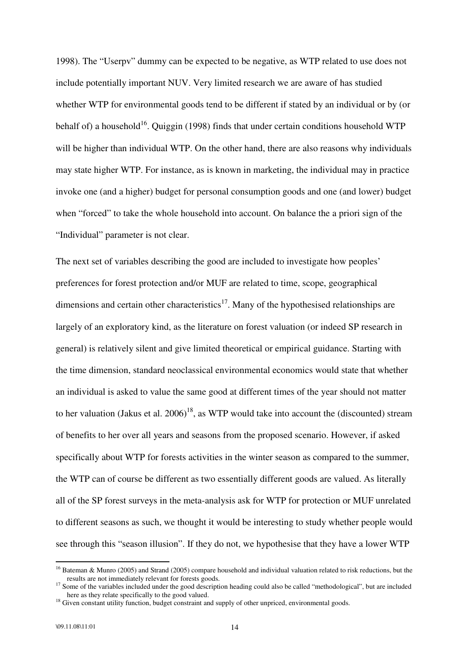1998). The "Userpv" dummy can be expected to be negative, as WTP related to use does not include potentially important NUV. Very limited research we are aware of has studied whether WTP for environmental goods tend to be different if stated by an individual or by (or behalf of) a household<sup>16</sup>. Quiggin (1998) finds that under certain conditions household WTP will be higher than individual WTP. On the other hand, there are also reasons why individuals may state higher WTP. For instance, as is known in marketing, the individual may in practice invoke one (and a higher) budget for personal consumption goods and one (and lower) budget when "forced" to take the whole household into account. On balance the a priori sign of the "Individual" parameter is not clear.

The next set of variables describing the good are included to investigate how peoples' preferences for forest protection and/or MUF are related to time, scope, geographical dimensions and certain other characteristics<sup>17</sup>. Many of the hypothesised relationships are largely of an exploratory kind, as the literature on forest valuation (or indeed SP research in general) is relatively silent and give limited theoretical or empirical guidance. Starting with the time dimension, standard neoclassical environmental economics would state that whether an individual is asked to value the same good at different times of the year should not matter to her valuation (Jakus et al.  $2006$ <sup>18</sup>, as WTP would take into account the (discounted) stream of benefits to her over all years and seasons from the proposed scenario. However, if asked specifically about WTP for forests activities in the winter season as compared to the summer, the WTP can of course be different as two essentially different goods are valued. As literally all of the SP forest surveys in the meta-analysis ask for WTP for protection or MUF unrelated to different seasons as such, we thought it would be interesting to study whether people would see through this "season illusion". If they do not, we hypothesise that they have a lower WTP

<sup>&</sup>lt;sup>16</sup> Bateman & Munro (2005) and Strand (2005) compare household and individual valuation related to risk reductions, but the results are not immediately relevant for forests goods.

<sup>&</sup>lt;sup>17</sup> Some of the variables included under the good description heading could also be called "methodological", but are included here as they relate specifically to the good valued.

<sup>&</sup>lt;sup>18</sup> Given constant utility function, budget constraint and supply of other unpriced, environmental goods.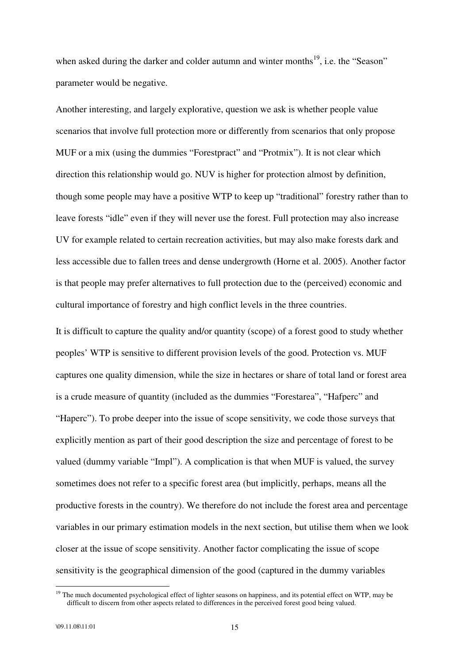when asked during the darker and colder autumn and winter months<sup>19</sup>, i.e. the "Season" parameter would be negative.

Another interesting, and largely explorative, question we ask is whether people value scenarios that involve full protection more or differently from scenarios that only propose MUF or a mix (using the dummies "Forestpract" and "Protmix"). It is not clear which direction this relationship would go. NUV is higher for protection almost by definition, though some people may have a positive WTP to keep up "traditional" forestry rather than to leave forests "idle" even if they will never use the forest. Full protection may also increase UV for example related to certain recreation activities, but may also make forests dark and less accessible due to fallen trees and dense undergrowth (Horne et al. 2005). Another factor is that people may prefer alternatives to full protection due to the (perceived) economic and cultural importance of forestry and high conflict levels in the three countries.

It is difficult to capture the quality and/or quantity (scope) of a forest good to study whether peoples' WTP is sensitive to different provision levels of the good. Protection vs. MUF captures one quality dimension, while the size in hectares or share of total land or forest area is a crude measure of quantity (included as the dummies "Forestarea", "Hafperc" and "Haperc"). To probe deeper into the issue of scope sensitivity, we code those surveys that explicitly mention as part of their good description the size and percentage of forest to be valued (dummy variable "Impl"). A complication is that when MUF is valued, the survey sometimes does not refer to a specific forest area (but implicitly, perhaps, means all the productive forests in the country). We therefore do not include the forest area and percentage variables in our primary estimation models in the next section, but utilise them when we look closer at the issue of scope sensitivity. Another factor complicating the issue of scope sensitivity is the geographical dimension of the good (captured in the dummy variables

<sup>&</sup>lt;sup>19</sup> The much documented psychological effect of lighter seasons on happiness, and its potential effect on WTP, may be difficult to discern from other aspects related to differences in the perceived forest good being valued.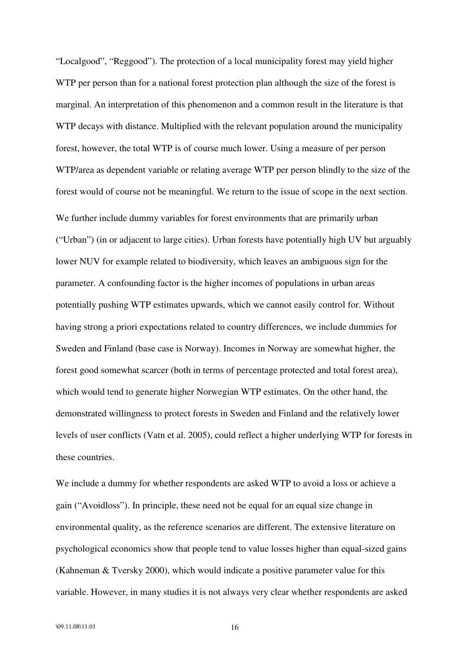"Localgood", "Reggood"). The protection of a local municipality forest may yield higher WTP per person than for a national forest protection plan although the size of the forest is marginal. An interpretation of this phenomenon and a common result in the literature is that WTP decays with distance. Multiplied with the relevant population around the municipality forest, however, the total WTP is of course much lower. Using a measure of per person WTP/area as dependent variable or relating average WTP per person blindly to the size of the forest would of course not be meaningful. We return to the issue of scope in the next section. We further include dummy variables for forest environments that are primarily urban ("Urban") (in or adjacent to large cities). Urban forests have potentially high UV but arguably lower NUV for example related to biodiversity, which leaves an ambiguous sign for the parameter. A confounding factor is the higher incomes of populations in urban areas potentially pushing WTP estimates upwards, which we cannot easily control for. Without having strong a priori expectations related to country differences, we include dummies for Sweden and Finland (base case is Norway). Incomes in Norway are somewhat higher, the forest good somewhat scarcer (both in terms of percentage protected and total forest area), which would tend to generate higher Norwegian WTP estimates. On the other hand, the demonstrated willingness to protect forests in Sweden and Finland and the relatively lower levels of user conflicts (Vatn et al. 2005), could reflect a higher underlying WTP for forests in these countries.

We include a dummy for whether respondents are asked WTP to avoid a loss or achieve a gain ("Avoidloss"). In principle, these need not be equal for an equal size change in environmental quality, as the reference scenarios are different. The extensive literature on psychological economics show that people tend to value losses higher than equal-sized gains (Kahneman & Tversky 2000), which would indicate a positive parameter value for this variable. However, in many studies it is not always very clear whether respondents are asked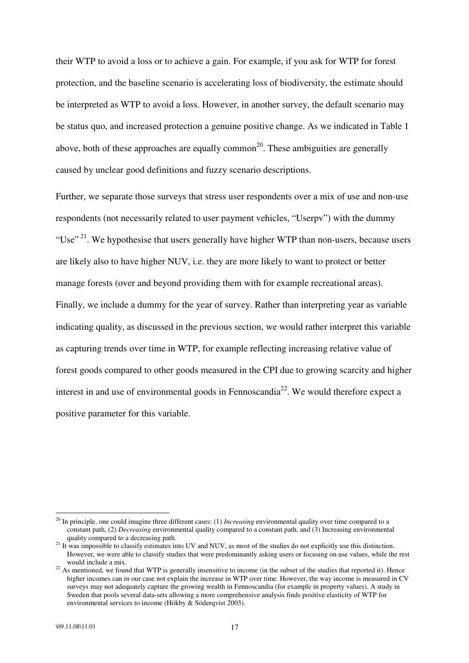their WTP to avoid a loss or to achieve a gain. For example, if you ask for WTP for forest protection, and the baseline scenario is accelerating loss of biodiversity, the estimate should be interpreted as WTP to avoid a loss. However, in another survey, the default scenario may be status quo, and increased protection a genuine positive change. As we indicated in Table 1 above, both of these approaches are equally common<sup>20</sup>. These ambiguities are generally caused by unclear good definitions and fuzzy scenario descriptions.

Further, we separate those surveys that stress user respondents over a mix of use and non-use respondents (not necessarily related to user payment vehicles, "Userpv") with the dummy "Use"<sup>21</sup>. We hypothesise that users generally have higher WTP than non-users, because users are likely also to have higher NUV, i.e. they are more likely to want to protect or better manage forests (over and beyond providing them with for example recreational areas). Finally, we include a dummy for the year of survey. Rather than interpreting year as variable indicating quality, as discussed in the previous section, we would rather interpret this variable as capturing trends over time in WTP, for example reflecting increasing relative value of forest goods compared to other goods measured in the CPI due to growing scarcity and higher interest in and use of environmental goods in Fennoscandia<sup>22</sup>. We would therefore expect a positive parameter for this variable.

<sup>&</sup>lt;sup>20</sup> In principle, one could imagine three different cases: (1) *Increasing* environmental quality over time compared to a constant path, (2) *Decreasing* environmental quality compared to a constant path, and (3) Increasing environmental quality compared to a decreasing path.

<sup>&</sup>lt;sup>21</sup> It was impossible to classify estimates into UV and NUV, as most of the studies do not explicitly use this distinction. However, we were able to classify studies that were predominantly asking users or focusing on use values, while the rest would include a mix.

 $22$  As mentioned, we found that WTP is generally insensitive to income (in the subset of the studies that reported it). Hence higher incomes can in our case not explain the increase in WTP over time. However, the way income is measured in CV surveys may not adequately capture the growing wealth in Fennoscandia (for example in property values). A study in Sweden that pools several data-sets allowing a more comprehensive analysis finds positive elasticity of WTP for environmental services to income (Hökby & Söderqvist 2003).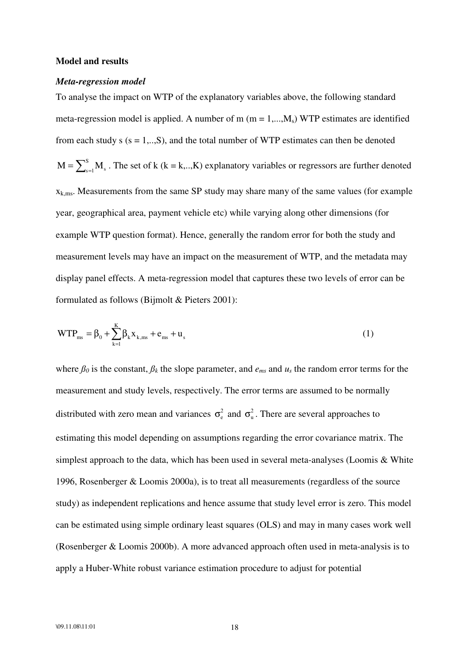#### **Model and results**

#### *Meta-regression model*

To analyse the impact on WTP of the explanatory variables above, the following standard meta-regression model is applied. A number of m  $(m = 1,...,M_s)$  WTP estimates are identified from each study  $s$  ( $s = 1,...,S$ ), and the total number of WTP estimates can then be denoted  $=$   $\sum_{s=}^S$  $M = \sum_{s=1}^{3} M_s$ . The set of k (k = k,..,K) explanatory variables or regressors are further denoted  $x_{k,ms}$ . Measurements from the same SP study may share many of the same values (for example year, geographical area, payment vehicle etc) while varying along other dimensions (for example WTP question format). Hence, generally the random error for both the study and measurement levels may have an impact on the measurement of WTP, and the metadata may display panel effects. A meta-regression model that captures these two levels of error can be formulated as follows (Bijmolt & Pieters 2001):

$$
WTP_{\text{ms}} = \beta_0 + \sum_{k=1}^{K} \beta_k x_{k,\text{ms}} + e_{\text{ms}} + u_s
$$
 (1)

where  $\beta_0$  is the constant,  $\beta_k$  the slope parameter, and  $e_{ms}$  and  $u_s$  the random error terms for the measurement and study levels, respectively. The error terms are assumed to be normally distributed with zero mean and variances  $\sigma_e^2$  and  $\sigma_u^2$ . There are several approaches to estimating this model depending on assumptions regarding the error covariance matrix. The simplest approach to the data, which has been used in several meta-analyses (Loomis & White 1996, Rosenberger & Loomis 2000a), is to treat all measurements (regardless of the source study) as independent replications and hence assume that study level error is zero. This model can be estimated using simple ordinary least squares (OLS) and may in many cases work well (Rosenberger & Loomis 2000b). A more advanced approach often used in meta-analysis is to apply a Huber-White robust variance estimation procedure to adjust for potential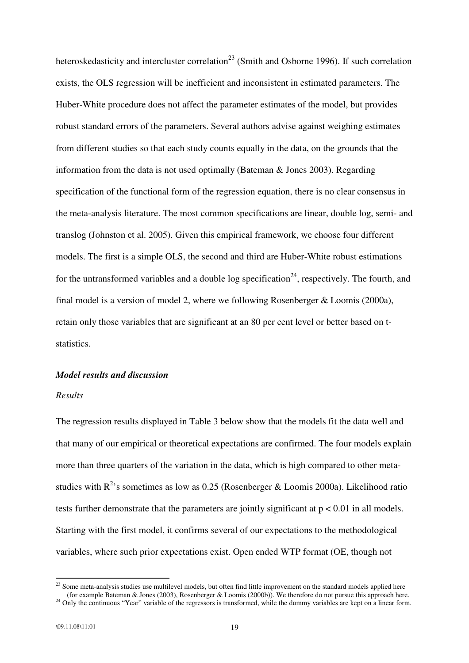heteroskedasticity and intercluster correlation<sup>23</sup> (Smith and Osborne 1996). If such correlation exists, the OLS regression will be inefficient and inconsistent in estimated parameters. The Huber-White procedure does not affect the parameter estimates of the model, but provides robust standard errors of the parameters. Several authors advise against weighing estimates from different studies so that each study counts equally in the data, on the grounds that the information from the data is not used optimally (Bateman & Jones 2003). Regarding specification of the functional form of the regression equation, there is no clear consensus in the meta-analysis literature. The most common specifications are linear, double log, semi- and translog (Johnston et al. 2005). Given this empirical framework, we choose four different models. The first is a simple OLS, the second and third are Huber-White robust estimations for the untransformed variables and a double log specification<sup>24</sup>, respectively. The fourth, and final model is a version of model 2, where we following Rosenberger & Loomis (2000a), retain only those variables that are significant at an 80 per cent level or better based on tstatistics.

# *Model results and discussion*

#### *Results*

The regression results displayed in Table 3 below show that the models fit the data well and that many of our empirical or theoretical expectations are confirmed. The four models explain more than three quarters of the variation in the data, which is high compared to other metastudies with  $R^2$ 's sometimes as low as 0.25 (Rosenberger & Loomis 2000a). Likelihood ratio tests further demonstrate that the parameters are jointly significant at  $p < 0.01$  in all models. Starting with the first model, it confirms several of our expectations to the methodological variables, where such prior expectations exist. Open ended WTP format (OE, though not

<sup>&</sup>lt;sup>23</sup> Some meta-analysis studies use multilevel models, but often find little improvement on the standard models applied here (for example Bateman & Jones (2003), Rosenberger & Loomis (2000b)). We therefore do not pursue this approach here.

<sup>&</sup>lt;sup>24</sup> Only the continuous "Year" variable of the regressors is transformed, while the dummy variables are kept on a linear form.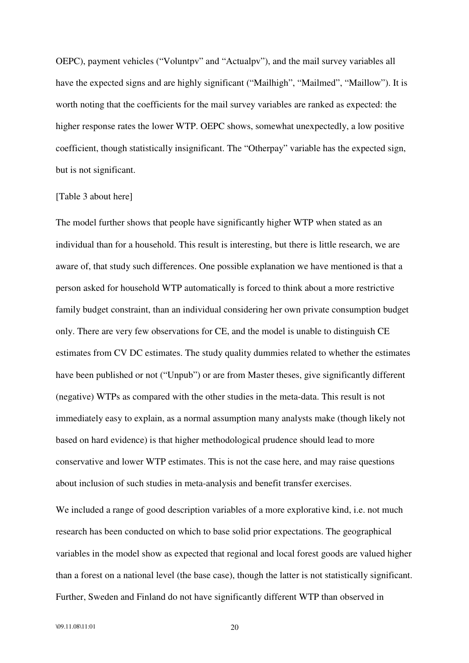OEPC), payment vehicles ("Voluntpv" and "Actualpv"), and the mail survey variables all have the expected signs and are highly significant ("Mailhigh", "Mailmed", "Maillow"). It is worth noting that the coefficients for the mail survey variables are ranked as expected: the higher response rates the lower WTP. OEPC shows, somewhat unexpectedly, a low positive coefficient, though statistically insignificant. The "Otherpay" variable has the expected sign, but is not significant.

#### [Table 3 about here]

The model further shows that people have significantly higher WTP when stated as an individual than for a household. This result is interesting, but there is little research, we are aware of, that study such differences. One possible explanation we have mentioned is that a person asked for household WTP automatically is forced to think about a more restrictive family budget constraint, than an individual considering her own private consumption budget only. There are very few observations for CE, and the model is unable to distinguish CE estimates from CV DC estimates. The study quality dummies related to whether the estimates have been published or not ("Unpub") or are from Master theses, give significantly different (negative) WTPs as compared with the other studies in the meta-data. This result is not immediately easy to explain, as a normal assumption many analysts make (though likely not based on hard evidence) is that higher methodological prudence should lead to more conservative and lower WTP estimates. This is not the case here, and may raise questions about inclusion of such studies in meta-analysis and benefit transfer exercises.

We included a range of good description variables of a more explorative kind, i.e. not much research has been conducted on which to base solid prior expectations. The geographical variables in the model show as expected that regional and local forest goods are valued higher than a forest on a national level (the base case), though the latter is not statistically significant. Further, Sweden and Finland do not have significantly different WTP than observed in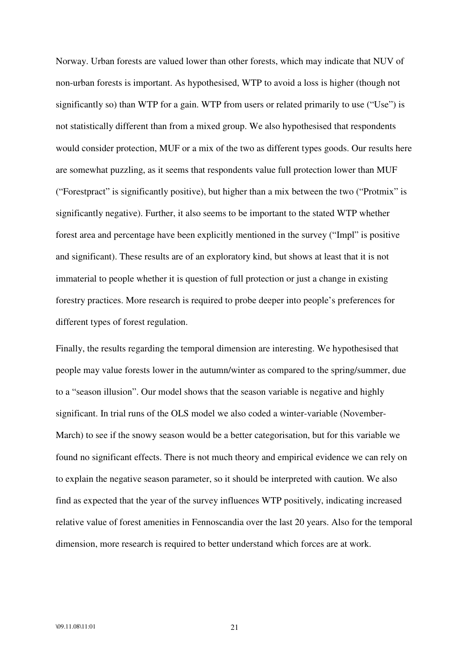Norway. Urban forests are valued lower than other forests, which may indicate that NUV of non-urban forests is important. As hypothesised, WTP to avoid a loss is higher (though not significantly so) than WTP for a gain. WTP from users or related primarily to use ("Use") is not statistically different than from a mixed group. We also hypothesised that respondents would consider protection, MUF or a mix of the two as different types goods. Our results here are somewhat puzzling, as it seems that respondents value full protection lower than MUF ("Forestpract" is significantly positive), but higher than a mix between the two ("Protmix" is significantly negative). Further, it also seems to be important to the stated WTP whether forest area and percentage have been explicitly mentioned in the survey ("Impl" is positive and significant). These results are of an exploratory kind, but shows at least that it is not immaterial to people whether it is question of full protection or just a change in existing forestry practices. More research is required to probe deeper into people's preferences for different types of forest regulation.

Finally, the results regarding the temporal dimension are interesting. We hypothesised that people may value forests lower in the autumn/winter as compared to the spring/summer, due to a "season illusion". Our model shows that the season variable is negative and highly significant. In trial runs of the OLS model we also coded a winter-variable (November-March) to see if the snowy season would be a better categorisation, but for this variable we found no significant effects. There is not much theory and empirical evidence we can rely on to explain the negative season parameter, so it should be interpreted with caution. We also find as expected that the year of the survey influences WTP positively, indicating increased relative value of forest amenities in Fennoscandia over the last 20 years. Also for the temporal dimension, more research is required to better understand which forces are at work.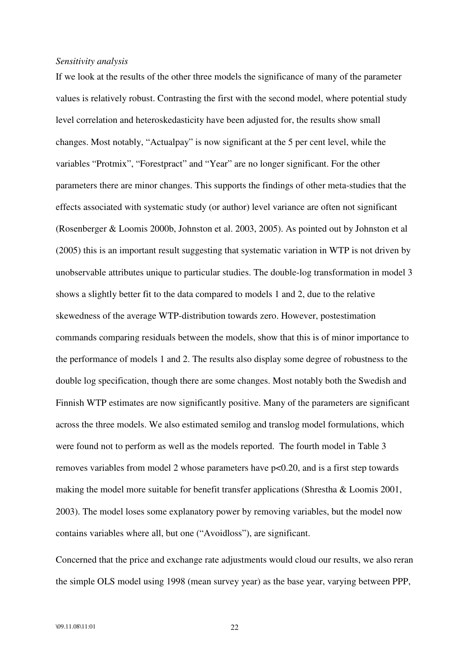#### *Sensitivity analysis*

If we look at the results of the other three models the significance of many of the parameter values is relatively robust. Contrasting the first with the second model, where potential study level correlation and heteroskedasticity have been adjusted for, the results show small changes. Most notably, "Actualpay" is now significant at the 5 per cent level, while the variables "Protmix", "Forestpract" and "Year" are no longer significant. For the other parameters there are minor changes. This supports the findings of other meta-studies that the effects associated with systematic study (or author) level variance are often not significant (Rosenberger & Loomis 2000b, Johnston et al. 2003, 2005). As pointed out by Johnston et al (2005) this is an important result suggesting that systematic variation in WTP is not driven by unobservable attributes unique to particular studies. The double-log transformation in model 3 shows a slightly better fit to the data compared to models 1 and 2, due to the relative skewedness of the average WTP-distribution towards zero. However, postestimation commands comparing residuals between the models, show that this is of minor importance to the performance of models 1 and 2. The results also display some degree of robustness to the double log specification, though there are some changes. Most notably both the Swedish and Finnish WTP estimates are now significantly positive. Many of the parameters are significant across the three models. We also estimated semilog and translog model formulations, which were found not to perform as well as the models reported. The fourth model in Table 3 removes variables from model 2 whose parameters have p<0.20, and is a first step towards making the model more suitable for benefit transfer applications (Shrestha & Loomis 2001, 2003). The model loses some explanatory power by removing variables, but the model now contains variables where all, but one ("Avoidloss"), are significant.

Concerned that the price and exchange rate adjustments would cloud our results, we also reran the simple OLS model using 1998 (mean survey year) as the base year, varying between PPP,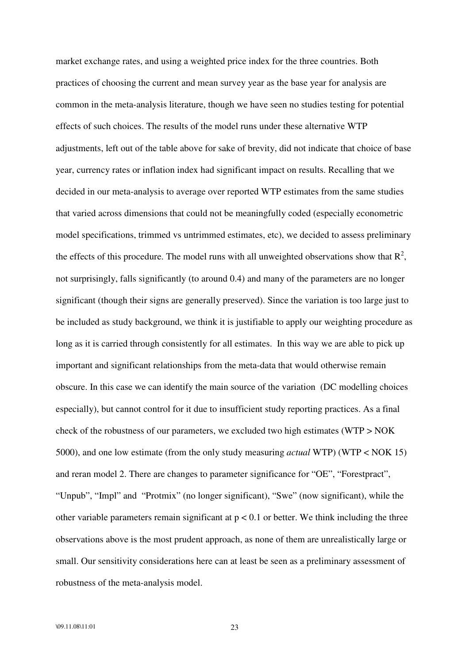market exchange rates, and using a weighted price index for the three countries. Both practices of choosing the current and mean survey year as the base year for analysis are common in the meta-analysis literature, though we have seen no studies testing for potential effects of such choices. The results of the model runs under these alternative WTP adjustments, left out of the table above for sake of brevity, did not indicate that choice of base year, currency rates or inflation index had significant impact on results. Recalling that we decided in our meta-analysis to average over reported WTP estimates from the same studies that varied across dimensions that could not be meaningfully coded (especially econometric model specifications, trimmed vs untrimmed estimates, etc), we decided to assess preliminary the effects of this procedure. The model runs with all unweighted observations show that  $\mathbb{R}^2$ , not surprisingly, falls significantly (to around 0.4) and many of the parameters are no longer significant (though their signs are generally preserved). Since the variation is too large just to be included as study background, we think it is justifiable to apply our weighting procedure as long as it is carried through consistently for all estimates. In this way we are able to pick up important and significant relationships from the meta-data that would otherwise remain obscure. In this case we can identify the main source of the variation (DC modelling choices especially), but cannot control for it due to insufficient study reporting practices. As a final check of the robustness of our parameters, we excluded two high estimates (WTP > NOK 5000), and one low estimate (from the only study measuring *actual* WTP) (WTP < NOK 15) and reran model 2. There are changes to parameter significance for "OE", "Forestpract", "Unpub", "Impl" and "Protmix" (no longer significant), "Swe" (now significant), while the other variable parameters remain significant at  $p < 0.1$  or better. We think including the three observations above is the most prudent approach, as none of them are unrealistically large or small. Our sensitivity considerations here can at least be seen as a preliminary assessment of robustness of the meta-analysis model.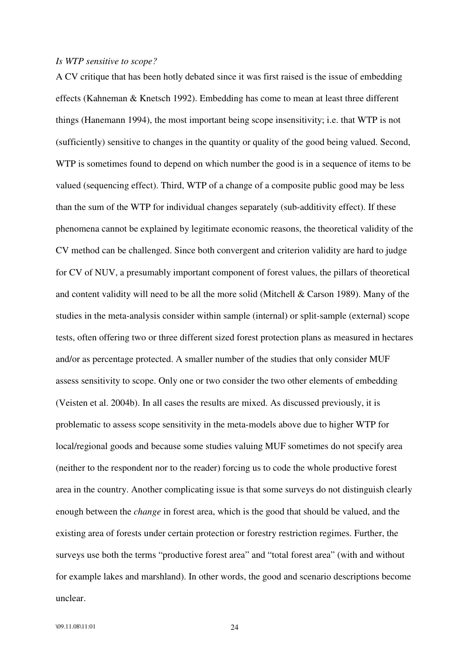#### *Is WTP sensitive to scope?*

A CV critique that has been hotly debated since it was first raised is the issue of embedding effects (Kahneman & Knetsch 1992). Embedding has come to mean at least three different things (Hanemann 1994), the most important being scope insensitivity; i.e. that WTP is not (sufficiently) sensitive to changes in the quantity or quality of the good being valued. Second, WTP is sometimes found to depend on which number the good is in a sequence of items to be valued (sequencing effect). Third, WTP of a change of a composite public good may be less than the sum of the WTP for individual changes separately (sub-additivity effect). If these phenomena cannot be explained by legitimate economic reasons, the theoretical validity of the CV method can be challenged. Since both convergent and criterion validity are hard to judge for CV of NUV, a presumably important component of forest values, the pillars of theoretical and content validity will need to be all the more solid (Mitchell & Carson 1989). Many of the studies in the meta-analysis consider within sample (internal) or split-sample (external) scope tests, often offering two or three different sized forest protection plans as measured in hectares and/or as percentage protected. A smaller number of the studies that only consider MUF assess sensitivity to scope. Only one or two consider the two other elements of embedding (Veisten et al. 2004b). In all cases the results are mixed. As discussed previously, it is problematic to assess scope sensitivity in the meta-models above due to higher WTP for local/regional goods and because some studies valuing MUF sometimes do not specify area (neither to the respondent nor to the reader) forcing us to code the whole productive forest area in the country. Another complicating issue is that some surveys do not distinguish clearly enough between the *change* in forest area, which is the good that should be valued, and the existing area of forests under certain protection or forestry restriction regimes. Further, the surveys use both the terms "productive forest area" and "total forest area" (with and without for example lakes and marshland). In other words, the good and scenario descriptions become unclear.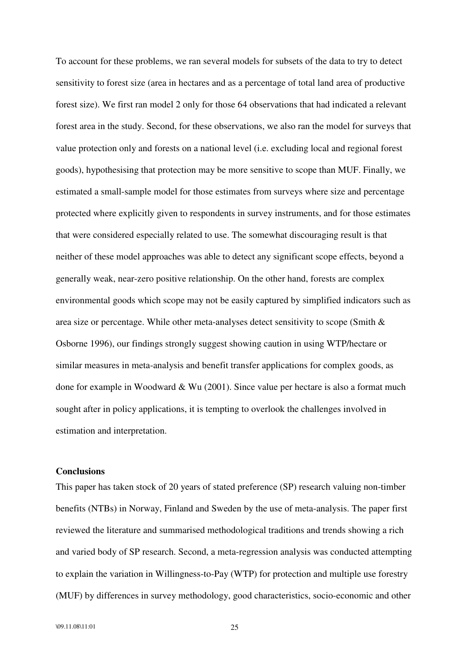To account for these problems, we ran several models for subsets of the data to try to detect sensitivity to forest size (area in hectares and as a percentage of total land area of productive forest size). We first ran model 2 only for those 64 observations that had indicated a relevant forest area in the study. Second, for these observations, we also ran the model for surveys that value protection only and forests on a national level (i.e. excluding local and regional forest goods), hypothesising that protection may be more sensitive to scope than MUF. Finally, we estimated a small-sample model for those estimates from surveys where size and percentage protected where explicitly given to respondents in survey instruments, and for those estimates that were considered especially related to use. The somewhat discouraging result is that neither of these model approaches was able to detect any significant scope effects, beyond a generally weak, near-zero positive relationship. On the other hand, forests are complex environmental goods which scope may not be easily captured by simplified indicators such as area size or percentage. While other meta-analyses detect sensitivity to scope (Smith & Osborne 1996), our findings strongly suggest showing caution in using WTP/hectare or similar measures in meta-analysis and benefit transfer applications for complex goods, as done for example in Woodward & Wu (2001). Since value per hectare is also a format much sought after in policy applications, it is tempting to overlook the challenges involved in estimation and interpretation.

# **Conclusions**

This paper has taken stock of 20 years of stated preference (SP) research valuing non-timber benefits (NTBs) in Norway, Finland and Sweden by the use of meta-analysis. The paper first reviewed the literature and summarised methodological traditions and trends showing a rich and varied body of SP research. Second, a meta-regression analysis was conducted attempting to explain the variation in Willingness-to-Pay (WTP) for protection and multiple use forestry (MUF) by differences in survey methodology, good characteristics, socio-economic and other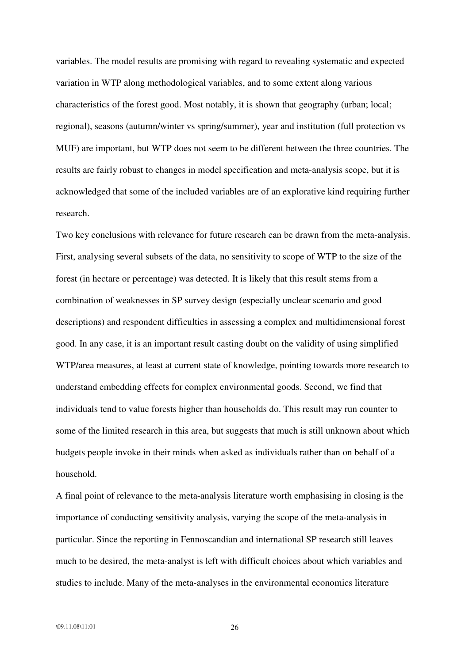variables. The model results are promising with regard to revealing systematic and expected variation in WTP along methodological variables, and to some extent along various characteristics of the forest good. Most notably, it is shown that geography (urban; local; regional), seasons (autumn/winter vs spring/summer), year and institution (full protection vs MUF) are important, but WTP does not seem to be different between the three countries. The results are fairly robust to changes in model specification and meta-analysis scope, but it is acknowledged that some of the included variables are of an explorative kind requiring further research.

Two key conclusions with relevance for future research can be drawn from the meta-analysis. First, analysing several subsets of the data, no sensitivity to scope of WTP to the size of the forest (in hectare or percentage) was detected. It is likely that this result stems from a combination of weaknesses in SP survey design (especially unclear scenario and good descriptions) and respondent difficulties in assessing a complex and multidimensional forest good. In any case, it is an important result casting doubt on the validity of using simplified WTP/area measures, at least at current state of knowledge, pointing towards more research to understand embedding effects for complex environmental goods. Second, we find that individuals tend to value forests higher than households do. This result may run counter to some of the limited research in this area, but suggests that much is still unknown about which budgets people invoke in their minds when asked as individuals rather than on behalf of a household.

A final point of relevance to the meta-analysis literature worth emphasising in closing is the importance of conducting sensitivity analysis, varying the scope of the meta-analysis in particular. Since the reporting in Fennoscandian and international SP research still leaves much to be desired, the meta-analyst is left with difficult choices about which variables and studies to include. Many of the meta-analyses in the environmental economics literature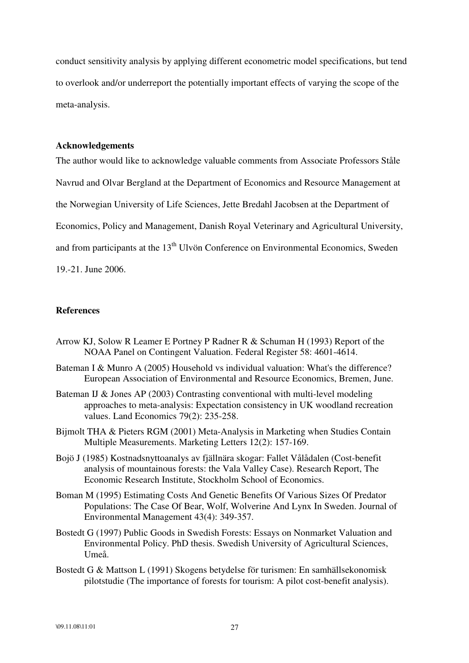conduct sensitivity analysis by applying different econometric model specifications, but tend to overlook and/or underreport the potentially important effects of varying the scope of the meta-analysis.

#### **Acknowledgements**

The author would like to acknowledge valuable comments from Associate Professors Ståle Navrud and Olvar Bergland at the Department of Economics and Resource Management at the Norwegian University of Life Sciences, Jette Bredahl Jacobsen at the Department of Economics, Policy and Management, Danish Royal Veterinary and Agricultural University, and from participants at the  $13<sup>th</sup>$  Ulvön Conference on Environmental Economics, Sweden 19.-21. June 2006.

## **References**

- Arrow KJ, Solow R Leamer E Portney P Radner R & Schuman H (1993) Report of the NOAA Panel on Contingent Valuation. Federal Register 58: 4601-4614.
- Bateman I & Munro A (2005) Household vs individual valuation: What's the difference? European Association of Environmental and Resource Economics, Bremen, June.
- Bateman IJ & Jones AP (2003) Contrasting conventional with multi-level modeling approaches to meta-analysis: Expectation consistency in UK woodland recreation values. Land Economics 79(2): 235-258.
- Bijmolt THA & Pieters RGM (2001) Meta-Analysis in Marketing when Studies Contain Multiple Measurements. Marketing Letters 12(2): 157-169.
- Bojö J (1985) Kostnadsnyttoanalys av fjällnära skogar: Fallet Vålådalen (Cost-benefit analysis of mountainous forests: the Vala Valley Case). Research Report, The Economic Research Institute, Stockholm School of Economics.
- Boman M (1995) Estimating Costs And Genetic Benefits Of Various Sizes Of Predator Populations: The Case Of Bear, Wolf, Wolverine And Lynx In Sweden. Journal of Environmental Management 43(4): 349-357.
- Bostedt G (1997) Public Goods in Swedish Forests: Essays on Nonmarket Valuation and Environmental Policy. PhD thesis. Swedish University of Agricultural Sciences, Umeå.
- Bostedt G & Mattson L (1991) Skogens betydelse för turismen: En samhällsekonomisk pilotstudie (The importance of forests for tourism: A pilot cost-benefit analysis).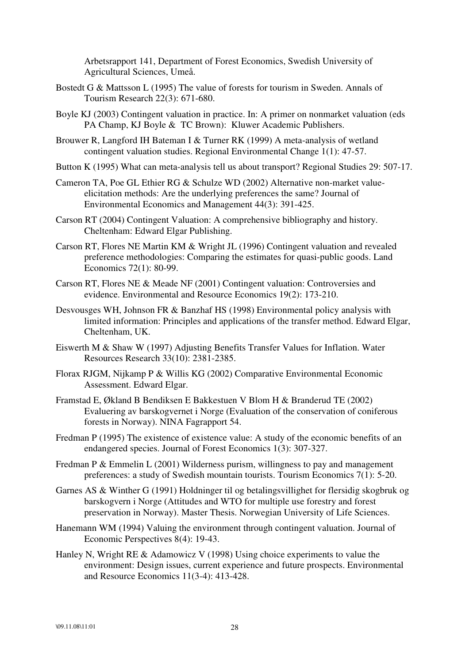Arbetsrapport 141, Department of Forest Economics, Swedish University of Agricultural Sciences, Umeå.

- Bostedt G & Mattsson L (1995) The value of forests for tourism in Sweden. Annals of Tourism Research 22(3): 671-680.
- Boyle KJ (2003) Contingent valuation in practice. In: A primer on nonmarket valuation (eds PA Champ, KJ Boyle & TC Brown): Kluwer Academic Publishers.
- Brouwer R, Langford IH Bateman I & Turner RK (1999) A meta-analysis of wetland contingent valuation studies. Regional Environmental Change 1(1): 47-57.
- Button K (1995) What can meta-analysis tell us about transport? Regional Studies 29: 507-17.
- Cameron TA, Poe GL Ethier RG & Schulze WD (2002) Alternative non-market valueelicitation methods: Are the underlying preferences the same? Journal of Environmental Economics and Management 44(3): 391-425.
- Carson RT (2004) Contingent Valuation: A comprehensive bibliography and history. Cheltenham: Edward Elgar Publishing.
- Carson RT, Flores NE Martin KM & Wright JL (1996) Contingent valuation and revealed preference methodologies: Comparing the estimates for quasi-public goods. Land Economics 72(1): 80-99.
- Carson RT, Flores NE & Meade NF (2001) Contingent valuation: Controversies and evidence. Environmental and Resource Economics 19(2): 173-210.
- Desvousges WH, Johnson FR & Banzhaf HS (1998) Environmental policy analysis with limited information: Principles and applications of the transfer method. Edward Elgar, Cheltenham, UK.
- Eiswerth M & Shaw W (1997) Adjusting Benefits Transfer Values for Inflation. Water Resources Research 33(10): 2381-2385.
- Florax RJGM, Nijkamp P & Willis KG (2002) Comparative Environmental Economic Assessment. Edward Elgar.
- Framstad E, Økland B Bendiksen E Bakkestuen V Blom H & Branderud TE (2002) Evaluering av barskogvernet i Norge (Evaluation of the conservation of coniferous forests in Norway). NINA Fagrapport 54.
- Fredman P (1995) The existence of existence value: A study of the economic benefits of an endangered species. Journal of Forest Economics 1(3): 307-327.
- Fredman P & Emmelin L (2001) Wilderness purism, willingness to pay and management preferences: a study of Swedish mountain tourists. Tourism Economics 7(1): 5-20.
- Garnes AS & Winther G (1991) Holdninger til og betalingsvillighet for flersidig skogbruk og barskogvern i Norge (Attitudes and WTO for multiple use forestry and forest preservation in Norway). Master Thesis. Norwegian University of Life Sciences.
- Hanemann WM (1994) Valuing the environment through contingent valuation. Journal of Economic Perspectives 8(4): 19-43.
- Hanley N, Wright RE & Adamowicz V (1998) Using choice experiments to value the environment: Design issues, current experience and future prospects. Environmental and Resource Economics 11(3-4): 413-428.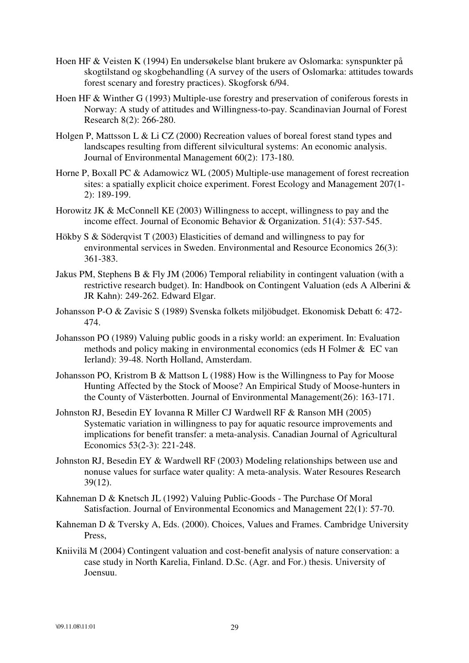- Hoen HF & Veisten K (1994) En undersøkelse blant brukere av Oslomarka: synspunkter på skogtilstand og skogbehandling (A survey of the users of Oslomarka: attitudes towards forest scenary and forestry practices). Skogforsk 6/94.
- Hoen HF & Winther G (1993) Multiple-use forestry and preservation of coniferous forests in Norway: A study of attitudes and Willingness-to-pay. Scandinavian Journal of Forest Research 8(2): 266-280.
- Holgen P, Mattsson L & Li CZ (2000) Recreation values of boreal forest stand types and landscapes resulting from different silvicultural systems: An economic analysis. Journal of Environmental Management 60(2): 173-180.
- Horne P, Boxall PC & Adamowicz WL (2005) Multiple-use management of forest recreation sites: a spatially explicit choice experiment. Forest Ecology and Management 207(1- 2): 189-199.
- Horowitz JK & McConnell KE (2003) Willingness to accept, willingness to pay and the income effect. Journal of Economic Behavior & Organization. 51(4): 537-545.
- Hökby S & Söderqvist T (2003) Elasticities of demand and willingness to pay for environmental services in Sweden. Environmental and Resource Economics 26(3): 361-383.
- Jakus PM, Stephens B & Fly JM (2006) Temporal reliability in contingent valuation (with a restrictive research budget). In: Handbook on Contingent Valuation (eds A Alberini & JR Kahn): 249-262. Edward Elgar.
- Johansson P-O & Zavisic S (1989) Svenska folkets miljöbudget. Ekonomisk Debatt 6: 472- 474.
- Johansson PO (1989) Valuing public goods in a risky world: an experiment. In: Evaluation methods and policy making in environmental economics (eds H Folmer & EC van Ierland): 39-48. North Holland, Amsterdam.
- Johansson PO, Kristrom B & Mattson L (1988) How is the Willingness to Pay for Moose Hunting Affected by the Stock of Moose? An Empirical Study of Moose-hunters in the County of Västerbotten. Journal of Environmental Management(26): 163-171.
- Johnston RJ, Besedin EY Iovanna R Miller CJ Wardwell RF & Ranson MH (2005) Systematic variation in willingness to pay for aquatic resource improvements and implications for benefit transfer: a meta-analysis. Canadian Journal of Agricultural Economics 53(2-3): 221-248.
- Johnston RJ, Besedin EY & Wardwell RF (2003) Modeling relationships between use and nonuse values for surface water quality: A meta-analysis. Water Resoures Research 39(12).
- Kahneman D & Knetsch JL (1992) Valuing Public-Goods The Purchase Of Moral Satisfaction. Journal of Environmental Economics and Management 22(1): 57-70.
- Kahneman D & Tversky A, Eds. (2000). Choices, Values and Frames. Cambridge University Press,
- Kniivilä M (2004) Contingent valuation and cost-benefit analysis of nature conservation: a case study in North Karelia, Finland. D.Sc. (Agr. and For.) thesis. University of Joensuu.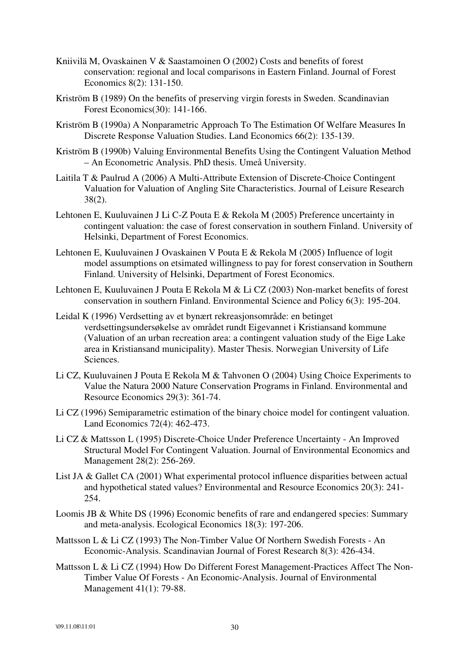- Kniivilä M, Ovaskainen V & Saastamoinen O (2002) Costs and benefits of forest conservation: regional and local comparisons in Eastern Finland. Journal of Forest Economics 8(2): 131-150.
- Kriström B (1989) On the benefits of preserving virgin forests in Sweden. Scandinavian Forest Economics(30): 141-166.
- Kriström B (1990a) A Nonparametric Approach To The Estimation Of Welfare Measures In Discrete Response Valuation Studies. Land Economics 66(2): 135-139.
- Kriström B (1990b) Valuing Environmental Benefits Using the Contingent Valuation Method – An Econometric Analysis. PhD thesis. Umeå University.
- Laitila T & Paulrud A (2006) A Multi-Attribute Extension of Discrete-Choice Contingent Valuation for Valuation of Angling Site Characteristics. Journal of Leisure Research  $38(2)$ .
- Lehtonen E, Kuuluvainen J Li C-Z Pouta E & Rekola M (2005) Preference uncertainty in contingent valuation: the case of forest conservation in southern Finland. University of Helsinki, Department of Forest Economics.
- Lehtonen E, Kuuluvainen J Ovaskainen V Pouta E & Rekola M (2005) Influence of logit model assumptions on etsimated willingness to pay for forest conservation in Southern Finland. University of Helsinki, Department of Forest Economics.
- Lehtonen E, Kuuluvainen J Pouta E Rekola M & Li CZ (2003) Non-market benefits of forest conservation in southern Finland. Environmental Science and Policy 6(3): 195-204.
- Leidal K (1996) Verdsetting av et bynært rekreasjonsområde: en betinget verdsettingsundersøkelse av området rundt Eigevannet i Kristiansand kommune (Valuation of an urban recreation area: a contingent valuation study of the Eige Lake area in Kristiansand municipality). Master Thesis. Norwegian University of Life Sciences.
- Li CZ, Kuuluvainen J Pouta E Rekola M & Tahvonen O (2004) Using Choice Experiments to Value the Natura 2000 Nature Conservation Programs in Finland. Environmental and Resource Economics 29(3): 361-74.
- Li CZ (1996) Semiparametric estimation of the binary choice model for contingent valuation. Land Economics 72(4): 462-473.
- Li CZ & Mattsson L (1995) Discrete-Choice Under Preference Uncertainty An Improved Structural Model For Contingent Valuation. Journal of Environmental Economics and Management 28(2): 256-269.
- List JA & Gallet CA (2001) What experimental protocol influence disparities between actual and hypothetical stated values? Environmental and Resource Economics 20(3): 241- 254.
- Loomis JB & White DS (1996) Economic benefits of rare and endangered species: Summary and meta-analysis. Ecological Economics 18(3): 197-206.
- Mattsson L & Li CZ (1993) The Non-Timber Value Of Northern Swedish Forests An Economic-Analysis. Scandinavian Journal of Forest Research 8(3): 426-434.
- Mattsson L & Li CZ (1994) How Do Different Forest Management-Practices Affect The Non-Timber Value Of Forests - An Economic-Analysis. Journal of Environmental Management 41(1): 79-88.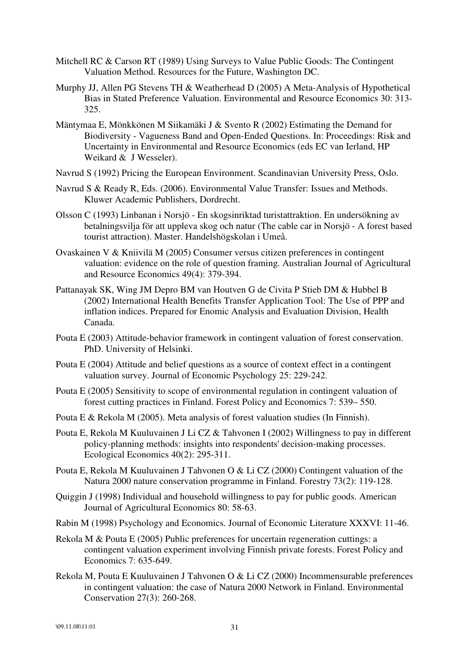- Mitchell RC & Carson RT (1989) Using Surveys to Value Public Goods: The Contingent Valuation Method. Resources for the Future, Washington DC.
- Murphy JJ, Allen PG Stevens TH & Weatherhead D (2005) A Meta-Analysis of Hypothetical Bias in Stated Preference Valuation. Environmental and Resource Economics 30: 313- 325.
- Mäntymaa E, Mönkkönen M Siikamäki J & Svento R (2002) Estimating the Demand for Biodiversity - Vagueness Band and Open-Ended Questions. In: Proceedings: Risk and Uncertainty in Environmental and Resource Economics (eds EC van Ierland, HP Weikard & J Wesseler).
- Navrud S (1992) Pricing the European Environment. Scandinavian University Press, Oslo.
- Navrud S & Ready R, Eds. (2006). Environmental Value Transfer: Issues and Methods. Kluwer Academic Publishers, Dordrecht.
- Olsson C (1993) Linbanan i Norsjö En skogsinriktad turistattraktion. En undersökning av betalningsvilja för att uppleva skog och natur (The cable car in Norsjö - A forest based tourist attraction). Master. Handelshögskolan i Umeå.
- Ovaskainen V & Kniivilä M (2005) Consumer versus citizen preferences in contingent valuation: evidence on the role of question framing. Australian Journal of Agricultural and Resource Economics 49(4): 379-394.
- Pattanayak SK, Wing JM Depro BM van Houtven G de Civita P Stieb DM & Hubbel B (2002) International Health Benefits Transfer Application Tool: The Use of PPP and inflation indices. Prepared for Enomic Analysis and Evaluation Division, Health Canada.
- Pouta E (2003) Attitude-behavior framework in contingent valuation of forest conservation. PhD. University of Helsinki.
- Pouta E (2004) Attitude and belief questions as a source of context effect in a contingent valuation survey. Journal of Economic Psychology 25: 229-242.
- Pouta E (2005) Sensitivity to scope of environmental regulation in contingent valuation of forest cutting practices in Finland. Forest Policy and Economics 7: 539– 550.
- Pouta E & Rekola M (2005). Meta analysis of forest valuation studies (In Finnish).
- Pouta E, Rekola M Kuuluvainen J Li CZ & Tahvonen I (2002) Willingness to pay in different policy-planning methods: insights into respondents' decision-making processes. Ecological Economics 40(2): 295-311.
- Pouta E, Rekola M Kuuluvainen J Tahvonen O & Li CZ (2000) Contingent valuation of the Natura 2000 nature conservation programme in Finland. Forestry 73(2): 119-128.
- Quiggin J (1998) Individual and household willingness to pay for public goods. American Journal of Agricultural Economics 80: 58-63.
- Rabin M (1998) Psychology and Economics. Journal of Economic Literature XXXVI: 11-46.
- Rekola M & Pouta E (2005) Public preferences for uncertain regeneration cuttings: a contingent valuation experiment involving Finnish private forests. Forest Policy and Economics 7: 635-649.
- Rekola M, Pouta E Kuuluvainen J Tahvonen O & Li CZ (2000) Incommensurable preferences in contingent valuation: the case of Natura 2000 Network in Finland. Environmental Conservation 27(3): 260-268.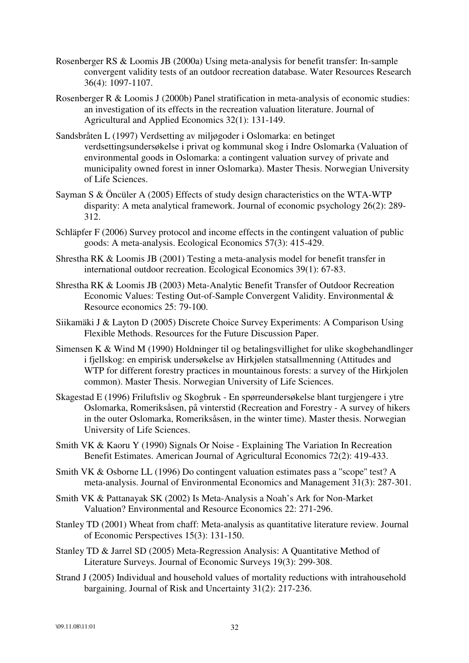- Rosenberger RS & Loomis JB (2000a) Using meta-analysis for benefit transfer: In-sample convergent validity tests of an outdoor recreation database. Water Resources Research 36(4): 1097-1107.
- Rosenberger R & Loomis J (2000b) Panel stratification in meta-analysis of economic studies: an investigation of its effects in the recreation valuation literature. Journal of Agricultural and Applied Economics 32(1): 131-149.
- Sandsbråten L (1997) Verdsetting av miljøgoder i Oslomarka: en betinget verdsettingsundersøkelse i privat og kommunal skog i Indre Oslomarka (Valuation of environmental goods in Oslomarka: a contingent valuation survey of private and municipality owned forest in inner Oslomarka). Master Thesis. Norwegian University of Life Sciences.
- Sayman S & Öncüler A (2005) Effects of study design characteristics on the WTA-WTP disparity: A meta analytical framework. Journal of economic psychology 26(2): 289- 312.
- Schläpfer F (2006) Survey protocol and income effects in the contingent valuation of public goods: A meta-analysis. Ecological Economics 57(3): 415-429.
- Shrestha RK & Loomis JB (2001) Testing a meta-analysis model for benefit transfer in international outdoor recreation. Ecological Economics 39(1): 67-83.
- Shrestha RK & Loomis JB (2003) Meta-Analytic Benefit Transfer of Outdoor Recreation Economic Values: Testing Out-of-Sample Convergent Validity. Environmental & Resource economics 25: 79-100.
- Siikamäki J & Layton D (2005) Discrete Choice Survey Experiments: A Comparison Using Flexible Methods. Resources for the Future Discussion Paper.
- Simensen K & Wind M (1990) Holdninger til og betalingsvillighet for ulike skogbehandlinger i fjellskog: en empirisk undersøkelse av Hirkjølen statsallmenning (Attitudes and WTP for different forestry practices in mountainous forests: a survey of the Hirkjolen common). Master Thesis. Norwegian University of Life Sciences.
- Skagestad E (1996) Friluftsliv og Skogbruk En spørreundersøkelse blant turgjengere i ytre Oslomarka, Romeriksåsen, på vinterstid (Recreation and Forestry - A survey of hikers in the outer Oslomarka, Romeriksåsen, in the winter time). Master thesis. Norwegian University of Life Sciences.
- Smith VK & Kaoru Y (1990) Signals Or Noise Explaining The Variation In Recreation Benefit Estimates. American Journal of Agricultural Economics 72(2): 419-433.
- Smith VK & Osborne LL (1996) Do contingent valuation estimates pass a ''scope'' test? A meta-analysis. Journal of Environmental Economics and Management 31(3): 287-301.
- Smith VK & Pattanayak SK (2002) Is Meta-Analysis a Noah's Ark for Non-Market Valuation? Environmental and Resource Economics 22: 271-296.
- Stanley TD (2001) Wheat from chaff: Meta-analysis as quantitative literature review. Journal of Economic Perspectives 15(3): 131-150.
- Stanley TD & Jarrel SD (2005) Meta-Regression Analysis: A Quantitative Method of Literature Surveys. Journal of Economic Surveys 19(3): 299-308.
- Strand J (2005) Individual and household values of mortality reductions with intrahousehold bargaining. Journal of Risk and Uncertainty 31(2): 217-236.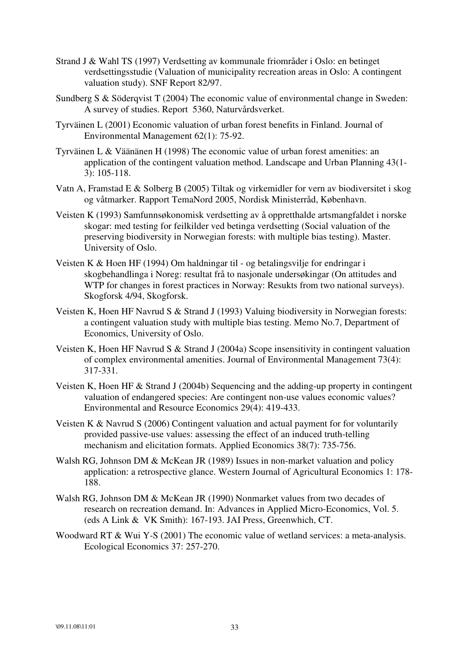- Strand J & Wahl TS (1997) Verdsetting av kommunale friområder i Oslo: en betinget verdsettingsstudie (Valuation of municipality recreation areas in Oslo: A contingent valuation study). SNF Report 82/97.
- Sundberg S & Söderqvist T (2004) The economic value of environmental change in Sweden: A survey of studies. Report 5360, Naturvårdsverket.
- Tyrväinen L (2001) Economic valuation of urban forest benefits in Finland. Journal of Environmental Management 62(1): 75-92.
- Tyrväinen L & Väänänen H (1998) The economic value of urban forest amenities: an application of the contingent valuation method. Landscape and Urban Planning 43(1- 3): 105-118.
- Vatn A, Framstad E & Solberg B (2005) Tiltak og virkemidler for vern av biodiversitet i skog og våtmarker. Rapport TemaNord 2005, Nordisk Ministerråd, København.
- Veisten K (1993) Samfunnsøkonomisk verdsetting av å oppretthalde artsmangfaldet i norske skogar: med testing for feilkilder ved betinga verdsetting (Social valuation of the preserving biodiversity in Norwegian forests: with multiple bias testing). Master. University of Oslo.
- Veisten K & Hoen HF (1994) Om haldningar til og betalingsvilje for endringar i skogbehandlinga i Noreg: resultat frå to nasjonale undersøkingar (On attitudes and WTP for changes in forest practices in Norway: Resukts from two national surveys). Skogforsk 4/94, Skogforsk.
- Veisten K, Hoen HF Navrud S & Strand J (1993) Valuing biodiversity in Norwegian forests: a contingent valuation study with multiple bias testing. Memo No.7, Department of Economics, University of Oslo.
- Veisten K, Hoen HF Navrud S & Strand J (2004a) Scope insensitivity in contingent valuation of complex environmental amenities. Journal of Environmental Management 73(4): 317-331.
- Veisten K, Hoen HF & Strand J (2004b) Sequencing and the adding-up property in contingent valuation of endangered species: Are contingent non-use values economic values? Environmental and Resource Economics 29(4): 419-433.
- Veisten K & Navrud S (2006) Contingent valuation and actual payment for for voluntarily provided passive-use values: assessing the effect of an induced truth-telling mechanism and elicitation formats. Applied Economics 38(7): 735-756.
- Walsh RG, Johnson DM & McKean JR (1989) Issues in non-market valuation and policy application: a retrospective glance. Western Journal of Agricultural Economics 1: 178- 188.
- Walsh RG, Johnson DM & McKean JR (1990) Nonmarket values from two decades of research on recreation demand. In: Advances in Applied Micro-Economics, Vol. 5. (eds A Link & VK Smith): 167-193. JAI Press, Greenwhich, CT.
- Woodward RT & Wui Y-S (2001) The economic value of wetland services: a meta-analysis. Ecological Economics 37: 257-270.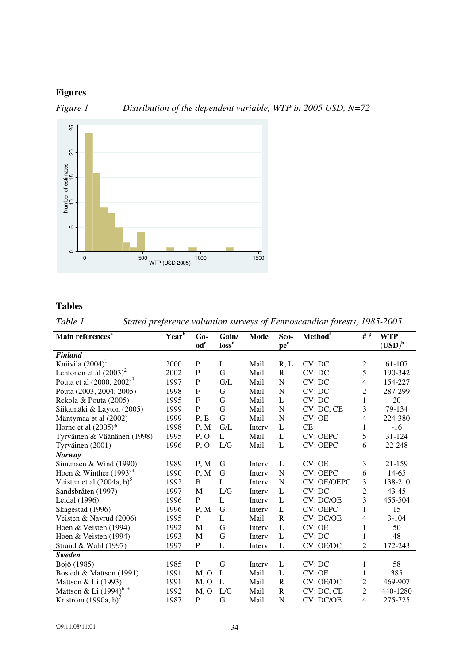# **Figures**

*Figure 1 Distribution of the dependent variable, WTP in 2005 USD, N=72* 



# **Tables**

*Table 1 Stated preference valuation surveys of Fennoscandian forests, 1985-2005* 

| Main references <sup>a</sup>        | Year <sup>b</sup> | $Go-$           | Gain/             | Mode    | Sco-            | Method <sup>f</sup> | # $8$          | <b>WTP</b> |
|-------------------------------------|-------------------|-----------------|-------------------|---------|-----------------|---------------------|----------------|------------|
|                                     |                   | od <sup>c</sup> | loss <sup>d</sup> |         | pe <sup>e</sup> |                     |                | $(USD)^h$  |
| <b>Finland</b>                      |                   |                 |                   |         |                 |                     |                |            |
| Kniivilä $(2004)^1$                 | 2000              | $\mathbf P$     | L                 | Mail    | R, L            | CV:DC               | $\overline{c}$ | 61-107     |
| Lehtonen et al $(2003)^2$           | 2002              | $\mathbf{P}$    | G                 | Mail    | $\mathbf R$     | CV:DC               | 5              | 190-342    |
| Pouta et al $(2000, 2002)^3$        | 1997              | P               | G/L               | Mail    | N               | CV:DC               | $\overline{4}$ | 154-227    |
| Pouta (2003, 2004, 2005)            | 1998              | $\overline{F}$  | G                 | Mail    | N               | CV:DC               | $\overline{c}$ | 287-299    |
| Rekola & Pouta (2005)               | 1995              | $\mathbf{F}$    | G                 | Mail    | L               | CV:DC               | 1              | 20         |
| Siikamäki & Layton (2005)           | 1999              | P               | G                 | Mail    | N               | CV: DC, CE          | 3              | 79-134     |
| Mäntymaa et al (2002)               | 1999              | P, B            | G                 | Mail    | $\mathbf N$     | <b>CV: OE</b>       | 4              | 224-380    |
| Horne et al $(2005)*$               | 1998              | P, M            | G/L               | Interv. | L               | <b>CE</b>           | 1              | $-16$      |
| Tyrväinen & Väänänen (1998)         | 1995              | P, O            | L                 | Mail    | L               | <b>CV: OEPC</b>     | 5              | 31-124     |
| Tyrväinen (2001)                    | 1996              | P, O            | L/G               | Mail    | L               | <b>CV: OEPC</b>     | 6              | 22-248     |
| <b>Norway</b>                       |                   |                 |                   |         |                 |                     |                |            |
| Simensen & Wind (1990)              | 1989              | P, M            | G                 | Interv. | L               | CV:OE               | 3              | 21-159     |
| Hoen & Winther $(1993)^4$           | 1990              | P, M            | G                 | Interv. | N               | <b>CV: OEPC</b>     | 6              | 14-65      |
| Veisten et al $(2004a, b)^5$        | 1992              | B               | L                 | Interv. | N               | <b>CV: OE/OEPC</b>  | 3              | 138-210    |
| Sandsbråten (1997)                  | 1997              | M               | L/G               | Interv. | L               | CV:DC               | 2              | 43-45      |
| Leidal (1996)                       | 1996              | P               | L                 | Interv. | L               | <b>CV: DC/OE</b>    | 3              | 455-504    |
| Skagestad (1996)                    | 1996              | P, M            | G                 | Interv. | L               | <b>CV: OEPC</b>     | 1              | 15         |
| Veisten & Navrud (2006)             | 1995              | P               | L                 | Mail    | $\mathbf R$     | <b>CV: DC/OE</b>    | 4              | $3 - 104$  |
| Hoen & Veisten (1994)               | 1992              | M               | G                 | Interv. | L               | CV: OE              | 1              | 50         |
| Hoen $& Veisten (1994)$             | 1993              | M               | G                 | Interv. | L               | CV:DC               | 1              | 48         |
| Strand & Wahl (1997)                | 1997              | P               | L                 | Interv. | L               | <b>CV: OE/DC</b>    | $\overline{c}$ | 172-243    |
| <b>Sweden</b>                       |                   |                 |                   |         |                 |                     |                |            |
| Bojö (1985)                         | 1985              | P               | G                 | Interv. | L               | CV:DC               | 1              | 58         |
| Bostedt & Mattson (1991)            | 1991              | M, O            | L                 | Mail    | L               | CV: OE              | 1              | 385        |
| Mattson & Li (1993)                 | 1991              | M, O            | L                 | Mail    | R               | <b>CV: OE/DC</b>    | $\overline{c}$ | 469-907    |
| Mattson & Li (1994) <sup>6, +</sup> | 1992              | M, O            | L/G               | Mail    | $\mathbf R$     | CV: DC, CE          | $\overline{2}$ | 440-1280   |
| Kriström (1990a, b) <sup>7</sup>    | 1987              | P               | G                 | Mail    | $\mathbf N$     | <b>CV: DC/OE</b>    | 4              | 275-725    |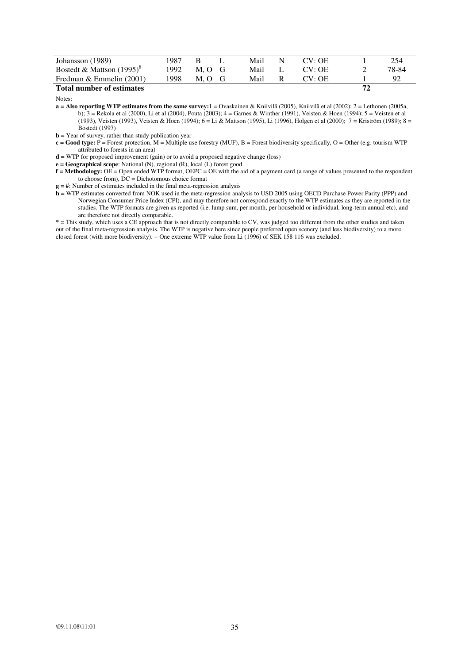| Johansson (1989)                 | 1987 |       |     | Mail | CV:OE    |    | 254      |
|----------------------------------|------|-------|-----|------|----------|----|----------|
| Bostedt & Mattson $(1995)^8$     | 1992 | M.O G |     | Mail | CV:OE    |    | 78-84    |
| Fredman & Emmelin (2001)         | 1998 | M. O  | - G | Mail | $CV:$ OE |    | $\Omega$ |
| <b>Total number of estimates</b> |      |       |     |      |          | 71 |          |

Notes:

**a** = Also reporting WTP estimates from the same survey:1 = Ovaskainen & Kniivilä (2005), Kniivilä et al (2002); 2 = Lethonen (2005a, b); 3 = Rekola et al (2000), Li et al (2004), Pouta (2003); 4 = Garnes & Winther (1991), Veisten & Hoen (1994); 5 = Veisten et al (1993), Veisten (1993), Veisten & Hoen (1994); 6 = Li & Mattson (1995), Li (1996), Holgen et al (2000); 7 = Kriström (1989); 8 = Bostedt (1997)

 $$ 

**c** = Good type: P = Forest protection, M = Multiple use forestry (MUF), B = Forest biodiversity specifically, O = Other (e.g. tourism WTP attributed to forests in an area)

**d =** WTP for proposed improvement (gain) or to avoid a proposed negative change (loss)

**e = Geographical scope**: National (N), regional (R), local (L) forest good

**f = Methodology:** OE = Open ended WTP format, OEPC = OE with the aid of a payment card (a range of values presented to the respondent to choose from),  $\overrightarrow{DC}$  = Dichotomous choice format

**g = #**: Number of estimates included in the final meta-regression analysis

**h** = WTP estimates converted from NOK used in the meta-regression analysis to USD 2005 using OECD Purchase Power Parity (PPP) and Norwegian Consumer Price Index (CPI), and may therefore not correspond exactly to the WTP estimates as they are reported in the studies. The WTP formats are given as reported (i.e. lump sum, per month, per household or individual, long-term annual etc), and are therefore not directly comparable.

**\* =** This study, which uses a CE approach that is not directly comparable to CV, was judged too different from the other studies and taken out of the final meta-regression analysis. The WTP is negative here since people preferred open scenery (and less biodiversity) to a more closed forest (with more biodiversity). + One extreme WTP value from Li (1996) of SEK 158 116 was excluded.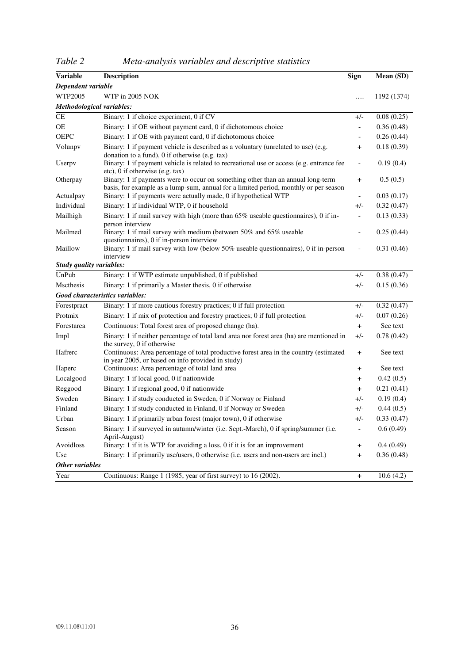| Table 2 |  | Meta-analysis variables and descriptive statistics |
|---------|--|----------------------------------------------------|
|         |  |                                                    |

| <b>Variable</b>           | Description                                                                                                                                                             | Sign                     | Mean (SD)   |
|---------------------------|-------------------------------------------------------------------------------------------------------------------------------------------------------------------------|--------------------------|-------------|
| Dependent variable        |                                                                                                                                                                         |                          |             |
| WTP2005                   | WTP in 2005 NOK                                                                                                                                                         | .                        | 1192 (1374) |
| Methodological variables: |                                                                                                                                                                         |                          |             |
| СE                        | Binary: 1 if choice experiment, 0 if CV                                                                                                                                 | $+/-$                    | 0.08(0.25)  |
| <b>OE</b>                 | Binary: 1 if OE without payment card, 0 if dichotomous choice                                                                                                           | $\overline{\phantom{a}}$ | 0.36(0.48)  |
| <b>OEPC</b>               | Binary: 1 if OE with payment card, 0 if dichotomous choice                                                                                                              | $\qquad \qquad \Box$     | 0.26(0.44)  |
| Volunpy                   | Binary: 1 if payment vehicle is described as a voluntary (unrelated to use) (e.g.<br>donation to a fund), 0 if otherwise (e.g. tax)                                     | $\ddot{}$                | 0.18(0.39)  |
| Userpy                    | Binary: 1 if payment vehicle is related to recreational use or access (e.g. entrance fee<br>$etc$ ), 0 if otherwise (e.g. tax)                                          |                          | 0.19(0.4)   |
| Otherpay                  | Binary: 1 if payments were to occur on something other than an annual long-term<br>basis, for example as a lump-sum, annual for a limited period, monthly or per season | $\ddot{}$                | 0.5(0.5)    |
| Actualpay                 | Binary: 1 if payments were actually made, 0 if hypothetical WTP                                                                                                         |                          | 0.03(0.17)  |
| Individual                | Binary: 1 if individual WTP, 0 if household                                                                                                                             | $+/-$                    | 0.32(0.47)  |
| Mailhigh                  | Binary: 1 if mail survey with high (more than $65\%$ useable questionnaires), 0 if in-<br>person interview                                                              | $\overline{\phantom{a}}$ | 0.13(0.33)  |
| Mailmed                   | Binary: 1 if mail survey with medium (between 50% and 65% useable<br>questionnaires), 0 if in-person interview                                                          | $\overline{a}$           | 0.25(0.44)  |
| Maillow                   | Binary: 1 if mail survey with low (below $50\%$ useable questionnaires), 0 if in-person<br>interview                                                                    | $\qquad \qquad \Box$     | 0.31(0.46)  |
| Study quality variables:  |                                                                                                                                                                         |                          |             |
| UnPub                     | Binary: 1 if WTP estimate unpublished, 0 if published                                                                                                                   | $+/-$                    | 0.38(0.47)  |
| Mscthesis                 | Binary: 1 if primarily a Master thesis, 0 if otherwise                                                                                                                  | $+/-$                    | 0.15(0.36)  |
|                           | Good characteristics variables:                                                                                                                                         |                          |             |
| Forestpract               | Binary: 1 if more cautious forestry practices; 0 if full protection                                                                                                     | $+/-$                    | 0.32(0.47)  |
| Protmix                   | Binary: 1 if mix of protection and forestry practices; 0 if full protection                                                                                             | $+/-$                    | 0.07(0.26)  |
| Forestarea                | Continuous: Total forest area of proposed change (ha).                                                                                                                  | $+$                      | See text    |
| Impl                      | Binary: 1 if neither percentage of total land area nor forest area (ha) are mentioned in<br>the survey, 0 if otherwise                                                  | +/-                      | 0.78(0.42)  |
| Hafrerc                   | Continuous: Area percentage of total productive forest area in the country (estimated<br>in year 2005, or based on info provided in study)                              | $+$                      | See text    |
| Haperc                    | Continuous: Area percentage of total land area                                                                                                                          | $\ddot{}$                | See text    |
| Localgood                 | Binary: 1 if local good, 0 if nationwide                                                                                                                                | $\ddot{}$                | 0.42(0.5)   |
| Reggood                   | Binary: 1 if regional good, 0 if nationwide                                                                                                                             | $+$                      | 0.21(0.41)  |
| Sweden                    | Binary: 1 if study conducted in Sweden, 0 if Norway or Finland                                                                                                          | $+/-$                    | 0.19(0.4)   |
| Finland                   | Binary: 1 if study conducted in Finland, 0 if Norway or Sweden                                                                                                          | $+/-$                    | 0.44(0.5)   |
| Urban                     | Binary: 1 if primarily urban forest (major town), 0 if otherwise                                                                                                        | $+/-$                    | 0.33(0.47)  |
| Season                    | Binary: 1 if surveyed in autumn/winter (i.e. Sept.-March), 0 if spring/summer (i.e.<br>April-August)                                                                    |                          | 0.6(0.49)   |
| Avoidloss                 | Binary: 1 if it is WTP for avoiding a loss, 0 if it is for an improvement                                                                                               | $\ddot{}$                | 0.4(0.49)   |
| Use                       | Binary: 1 if primarily use/users, 0 otherwise (i.e. users and non-users are incl.)                                                                                      | $\ddot{}$                | 0.36(0.48)  |
| Other variables           |                                                                                                                                                                         |                          |             |
| Year                      | Continuous: Range 1 (1985, year of first survey) to 16 (2002).                                                                                                          | $\ddot{}$                | 10.6(4.2)   |